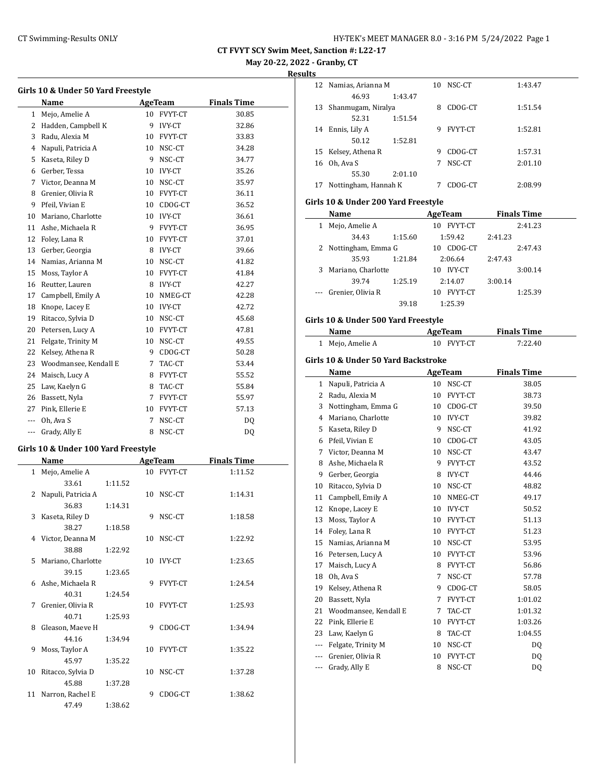**May 20-22, 2022 - Granby, CT**

**Results**

|              | Name                  |    | AgeTeam        | <b>Finals Time</b> |
|--------------|-----------------------|----|----------------|--------------------|
| $\mathbf{1}$ | Mejo, Amelie A        | 10 | <b>FVYT-CT</b> | 30.85              |
| 2            | Hadden, Campbell K    | 9  | <b>IVY-CT</b>  | 32.86              |
| 3            | Radu, Alexia M        | 10 | FVYT-CT        | 33.83              |
| 4            | Napuli, Patricia A    | 10 | NSC-CT         | 34.28              |
| 5            | Kaseta, Riley D       | 9  | NSC-CT         | 34.77              |
| 6            | Gerber, Tessa         | 10 | <b>IVY-CT</b>  | 35.26              |
| 7            | Victor, Deanna M      | 10 | NSC-CT         | 35.97              |
| 8            | Grenier, Olivia R     | 10 | FVYT-CT        | 36.11              |
| 9            | Pfeil, Vivian E       | 10 | CDOG-CT        | 36.52              |
| 10           | Mariano, Charlotte    | 10 | <b>IVY-CT</b>  | 36.61              |
| 11           | Ashe, Michaela R      | 9  | FVYT-CT        | 36.95              |
| 12           | Foley, Lana R         | 10 | FVYT-CT        | 37.01              |
| 13           | Gerber, Georgia       | 8  | <b>IVY-CT</b>  | 39.66              |
| 14           | Namias, Arianna M     | 10 | NSC-CT         | 41.82              |
| 15           | Moss, Taylor A        |    | 10 FVYT-CT     | 41.84              |
| 16           | Reutter, Lauren       | 8  | <b>IVY-CT</b>  | 42.27              |
| 17           | Campbell, Emily A     | 10 | NMEG-CT        | 42.28              |
| 18           | Knope, Lacey E        | 10 | <b>IVY-CT</b>  | 42.72              |
| 19           | Ritacco, Sylvia D     | 10 | NSC-CT         | 45.68              |
| 20           | Petersen, Lucy A      | 10 | FVYT-CT        | 47.81              |
| 21           | Felgate, Trinity M    | 10 | NSC-CT         | 49.55              |
| 22           | Kelsey, Athena R      | 9  | CDOG-CT        | 50.28              |
| 23           | Woodmansee, Kendall E | 7  | TAC-CT         | 53.44              |
| 24           | Maisch, Lucy A        | 8  | FVYT-CT        | 55.52              |
| 25           | Law, Kaelyn G         | 8  | TAC-CT         | 55.84              |
| 26           | Bassett, Nyla         | 7  | <b>FVYT-CT</b> | 55.97              |
| 27           | Pink, Ellerie E       | 10 | FVYT-CT        | 57.13              |
| ---          | Oh, Ava S             | 7  | NSC-CT         | DQ                 |
| ---          | Grady, Ally E         | 8  | NSC-CT         | DQ                 |

# **Girls 10 & Under 100 Yard Freestyle**

|    | Name                 |         |    | <b>AgeTeam</b> | <b>Finals Time</b> |  |
|----|----------------------|---------|----|----------------|--------------------|--|
|    | 1 Mejo, Amelie A     |         |    | 10 FVYT-CT     | 1:11.52            |  |
|    | 33.61                | 1:11.52 |    |                |                    |  |
|    | 2 Napuli, Patricia A |         |    | 10 NSC-CT      | 1:14.31            |  |
|    | 36.83                | 1:14.31 |    |                |                    |  |
| 3  | Kaseta, Riley D      |         | 9  | NSC-CT         | 1:18.58            |  |
|    | 38.27                | 1:18.58 |    |                |                    |  |
|    | 4 Victor, Deanna M   |         |    | 10 NSC-CT      | 1:22.92            |  |
|    | 38.88                | 1:22.92 |    |                |                    |  |
|    | 5 Mariano, Charlotte |         |    | 10 IVY-CT      | 1:23.65            |  |
|    | 39.15                | 1:23.65 |    |                |                    |  |
|    | 6 Ashe, Michaela R   |         |    | 9 FVYT-CT      | 1:24.54            |  |
|    | 40.31                | 1:24.54 |    |                |                    |  |
| 7  | Grenier, Olivia R    |         |    | 10 FVYT-CT     | 1:25.93            |  |
|    | 40.71                | 1:25.93 |    |                |                    |  |
| 8  | Gleason, Maeve H     |         | 9  | CDOG-CT        | 1:34.94            |  |
|    | 44.16                | 1:34.94 |    |                |                    |  |
| 9  | Moss, Taylor A       |         |    | 10 FVYT-CT     | 1:35.22            |  |
|    | 45.97                | 1:35.22 |    |                |                    |  |
| 10 | Ritacco, Sylvia D    |         | 10 | NSC-CT         | 1:37.28            |  |
|    | 45.88                | 1:37.28 |    |                |                    |  |
| 11 | Narron, Rachel E     |         | 9  | CDOG-CT        | 1:38.62            |  |
|    | 47.49                | 1:38.62 |    |                |                    |  |

|              | 12 Namias, Arianna M                |         | 10 | NSC-CT         |         | 1:43.47            |
|--------------|-------------------------------------|---------|----|----------------|---------|--------------------|
|              | 46.93                               | 1:43.47 |    |                |         |                    |
|              | 13 Shanmugam, Niralya               |         | 8  | CDOG-CT        |         | 1:51.54            |
|              | 52.31                               | 1:51.54 |    |                |         |                    |
|              | 14 Ennis, Lily A                    |         | 9  | <b>FVYT-CT</b> |         | 1:52.81            |
|              | 50.12                               | 1:52.81 |    |                |         |                    |
|              | 15 Kelsey, Athena R                 |         | 9  | CDOG-CT        |         | 1:57.31            |
| 16           | Oh, Ava S                           |         | 7  | NSC-CT         |         | 2:01.10            |
|              | 55.30                               | 2:01.10 |    |                |         |                    |
| 17           | Nottingham, Hannah K                |         | 7  | CDOG-CT        |         | 2:08.99            |
|              | Girls 10 & Under 200 Yard Freestyle |         |    |                |         |                    |
|              | Name                                |         |    | AgeTeam        |         | <b>Finals Time</b> |
| $\mathbf{1}$ | Mejo, Amelie A                      |         |    | 10 FVYT-CT     |         | 2:41.23            |
|              | 34.43                               | 1:15.60 |    | 1:59.42        | 2:41.23 |                    |
| 2            | Nottingham, Emma G                  |         |    | 10 CDOG-CT     |         | 2:47.43            |
|              | 35.93                               | 1:21.84 |    | 2:06.64        | 2:47.43 |                    |
| 3            | Mariano, Charlotte                  |         |    | 10 IVY-CT      |         | 3:00.14            |
|              | 39.74                               | 1:25.19 |    | 2:14.07        | 3:00.14 |                    |

--- Grenier, Olivia R 10 FVYT-CT 1:25.39 39.18 1:25.39

### **Girls 10 & Under 500 Yard Freestyle**

| Name         |                                     |                 | <b>AgeTeam</b> | <b>Finals Time</b> |  |
|--------------|-------------------------------------|-----------------|----------------|--------------------|--|
| $\mathbf{1}$ | Mejo, Amelie A                      | 10 <sup>1</sup> | FVYT-CT        | 7:22.40            |  |
|              | Girls 10 & Under 50 Yard Backstroke |                 |                |                    |  |
|              | Name                                |                 | AgeTeam        | <b>Finals Time</b> |  |
| 1            | Napuli, Patricia A                  | 10              | NSC-CT         | 38.05              |  |
| 2            | Radu, Alexia M                      | 10              | FVYT-CT        | 38.73              |  |
| 3            | Nottingham, Emma G                  | 10              | CDOG-CT        | 39.50              |  |
| 4            | Mariano, Charlotte                  | 10              | <b>IVY-CT</b>  | 39.82              |  |
| 5            | Kaseta, Riley D                     | 9               | NSC-CT         | 41.92              |  |
| 6            | Pfeil, Vivian E                     | 10              | CDOG-CT        | 43.05              |  |
| 7            | Victor, Deanna M                    | 10              | NSC-CT         | 43.47              |  |
| 8            | Ashe, Michaela R                    | 9               | <b>FVYT-CT</b> | 43.52              |  |
| 9            | Gerber, Georgia                     | 8               | <b>IVY-CT</b>  | 44.46              |  |
| 10           | Ritacco, Sylvia D                   | 10              | NSC-CT         | 48.82              |  |
| 11           | Campbell, Emily A                   | 10              | NMEG-CT        | 49.17              |  |
| 12           | Knope, Lacey E                      | 10              | <b>IVY-CT</b>  | 50.52              |  |
| 13           | Moss, Taylor A                      | 10              | FVYT-CT        | 51.13              |  |
| 14           | Foley, Lana R                       | 10              | <b>FVYT-CT</b> | 51.23              |  |
| 15           | Namias, Arianna M                   | 10              | NSC-CT         | 53.95              |  |
| 16           | Petersen, Lucy A                    | 10              | FVYT-CT        | 53.96              |  |
| 17           | Maisch, Lucy A                      | 8               | <b>FVYT-CT</b> | 56.86              |  |
| 18           | Oh, Ava S                           | 7               | NSC-CT         | 57.78              |  |
| 19           | Kelsey, Athena R                    | 9               | CDOG-CT        | 58.05              |  |
| 20           | Bassett, Nyla                       | 7               | FVYT-CT        | 1:01.02            |  |
| 21           | Woodmansee, Kendall E               | 7               | TAC-CT         | 1:01.32            |  |
| 22           | Pink, Ellerie E                     | 10              | FVYT-CT        | 1:03.26            |  |
| 23           | Law, Kaelyn G                       | 8               | TAC-CT         | 1:04.55            |  |
| ---          | Felgate, Trinity M                  | 10              | NSC-CT         | DQ                 |  |
|              | Grenier, Olivia R                   | 10              | <b>FVYT-CT</b> | DQ                 |  |
| ---          | Grady, Ally E                       | 8               | NSC-CT         | DQ                 |  |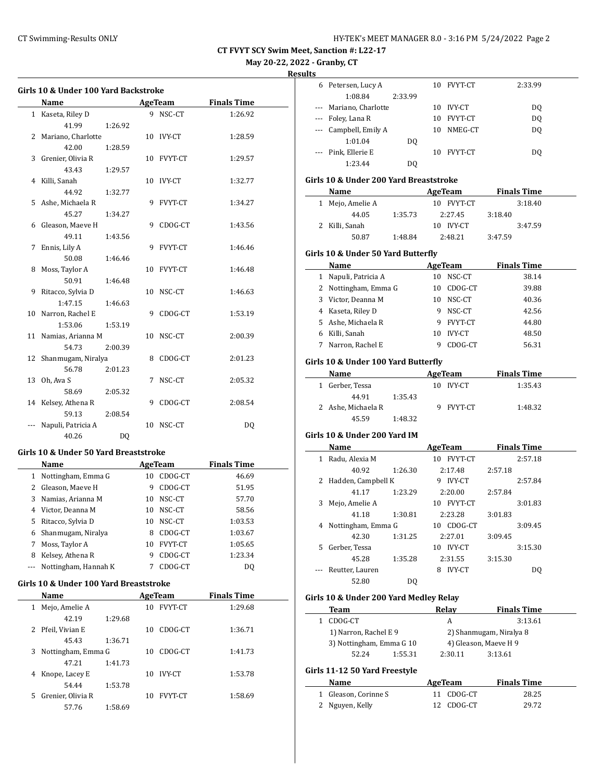**May 20-22, 2022 - Granby, CT**

**Resu** 

|    | <b>Name</b>                           |         |   | AgeTeam    | <b>Finals Time</b> |  |
|----|---------------------------------------|---------|---|------------|--------------------|--|
|    | 1 Kaseta, Riley D                     |         |   | 9 NSC-CT   | 1:26.92            |  |
|    | 41.99                                 | 1:26.92 |   |            |                    |  |
|    | 2 Mariano, Charlotte                  |         |   | 10 IVY-CT  | 1:28.59            |  |
|    | 42.00                                 | 1:28.59 |   |            |                    |  |
|    | 3 Grenier, Olivia R                   |         |   | 10 FVYT-CT | 1:29.57            |  |
|    | 43.43                                 | 1:29.57 |   |            |                    |  |
|    | 4 Killi, Sanah                        |         |   | 10 IVY-CT  | 1:32.77            |  |
|    | 44.92                                 | 1:32.77 |   |            |                    |  |
| 5  | Ashe, Michaela R                      |         | 9 | FVYT-CT    | 1:34.27            |  |
|    | 45.27                                 | 1:34.27 |   |            |                    |  |
| 6  | Gleason, Maeve H                      |         | 9 | CDOG-CT    | 1:43.56            |  |
|    | 49.11                                 | 1:43.56 |   |            |                    |  |
| 7  | Ennis, Lily A                         |         | 9 | FVYT-CT    | 1:46.46            |  |
|    | 50.08                                 | 1:46.46 |   |            |                    |  |
| 8  | Moss, Taylor A                        |         |   | 10 FVYT-CT | 1:46.48            |  |
|    | 50.91                                 | 1:46.48 |   |            |                    |  |
| 9  | Ritacco, Sylvia D                     |         |   | 10 NSC-CT  | 1:46.63            |  |
|    | 1:47.15                               | 1:46.63 |   |            |                    |  |
| 10 | Narron, Rachel E                      |         | 9 | CDOG-CT    | 1:53.19            |  |
|    | 1:53.06                               | 1:53.19 |   |            |                    |  |
| 11 | Namias, Arianna M                     |         |   | 10 NSC-CT  | 2:00.39            |  |
|    | 54.73                                 | 2:00.39 |   |            |                    |  |
| 12 | Shanmugam, Niralya                    |         |   | 8 CDOG-CT  | 2:01.23            |  |
|    | 56.78                                 | 2:01.23 |   |            |                    |  |
| 13 | Oh, Ava S                             |         | 7 | NSC-CT     | 2:05.32            |  |
|    | 58.69                                 | 2:05.32 |   |            |                    |  |
|    | 14 Kelsey, Athena R                   |         | 9 | CDOG-CT    | 2:08.54            |  |
|    | 59.13                                 | 2:08.54 |   |            |                    |  |
|    | Napuli, Patricia A                    |         |   | 10 NSC-CT  | DO.                |  |
|    | 40.26                                 | DO.     |   |            |                    |  |
|    | Girls 10 & Under 50 Yard Breaststroke |         |   |            |                    |  |
|    | Name                                  |         |   | AgeTeam    | <b>Finals Time</b> |  |
|    | 1 Nottingham, Emma G                  |         |   | 10 CDOG-CT | 46.69              |  |
| 2  | Gleason, Maeve H                      |         |   | 9 CDOG-CT  | 51.95              |  |
| 3  | Namias, Arianna M                     |         |   | 10 NSC-CT  | 57.70              |  |
|    |                                       |         |   |            |                    |  |

|   | 4 Victor, Deanna M       | 10 | NSC-CT     | 58.56   |
|---|--------------------------|----|------------|---------|
| 5 | Ritacco, Sylvia D        |    | 10 NSC-CT  | 1:03.53 |
|   | 6 Shanmugam, Niralya     | 8  | CDOG-CT    | 1:03.67 |
|   | Moss, Taylor A           |    | 10 FVYT-CT | 1:05.65 |
| 8 | Kelsey, Athena R         | 9  | CDOG-CT    | 1:23.34 |
|   | --- Nottingham, Hannah K |    | CDOG-CT    | DO      |
|   |                          |    |            |         |

# **Girls 10 & Under 100 Yard Breaststroke**

| Name              |                    | AgeTeam |    |                | <b>Finals Time</b> |  |
|-------------------|--------------------|---------|----|----------------|--------------------|--|
| 1                 | Mejo, Amelie A     |         | 10 | <b>FVYT-CT</b> | 1:29.68            |  |
|                   | 42.19              | 1:29.68 |    |                |                    |  |
| 2 Pfeil, Vivian E |                    |         | 10 | CDOG-CT        | 1:36.71            |  |
|                   | 45.43              | 1:36.71 |    |                |                    |  |
| 3                 | Nottingham, Emma G |         | 10 | CDOG-CT        | 1:41.73            |  |
|                   | 47.21              | 1:41.73 |    |                |                    |  |
| 4                 | Knope, Lacey E     |         | 10 | <b>IVY-CT</b>  | 1:53.78            |  |
|                   | 54.44              | 1:53.78 |    |                |                    |  |
| 5.                | Grenier, Olivia R  |         | 10 | <b>FVYT-CT</b> | 1:58.69            |  |
|                   | 57.76              | 1:58.69 |    |                |                    |  |

| ılts     |                                        |         |   |                          |         |                    |  |
|----------|----------------------------------------|---------|---|--------------------------|---------|--------------------|--|
|          | 6 Petersen, Lucy A                     |         |   | 10 FVYT-CT               |         | 2:33.99            |  |
|          | 1:08.84                                | 2:33.99 |   |                          |         |                    |  |
|          | --- Mariano, Charlotte                 |         |   | 10 IVY-CT                |         | DQ                 |  |
|          | --- Foley, Lana R                      |         |   | 10 FVYT-CT               |         | <b>DQ</b>          |  |
|          | --- Campbell, Emily A                  |         |   | 10 NMEG-CT               |         | DQ                 |  |
|          | 1:01.04                                | DQ      |   |                          |         |                    |  |
| $\cdots$ | Pink, Ellerie E                        |         |   | 10 FVYT-CT               |         | DQ                 |  |
|          | 1:23.44                                | DQ      |   |                          |         |                    |  |
|          | Girls 10 & Under 200 Yard Breaststroke |         |   |                          |         |                    |  |
|          |                                        |         |   |                          |         |                    |  |
|          | Name                                   |         |   | AgeTeam Finals Time      |         |                    |  |
|          | 1 Mejo, Amelie A                       |         |   | 10 FVYT-CT               |         | 3:18.40            |  |
|          | 44.05                                  | 1:35.73 |   | 2:27.45                  | 3:18.40 |                    |  |
|          | 2 Killi, Sanah                         |         |   | 10 IVY-CT                |         | 3:47.59            |  |
|          | 50.87                                  | 1:48.84 |   | 2:48.21                  | 3:47.59 |                    |  |
|          | Girls 10 & Under 50 Yard Butterfly     |         |   |                          |         |                    |  |
|          | Name                                   |         |   | <b>Example 2 AgeTeam</b> |         | <b>Finals Time</b> |  |
|          | 1 Napuli, Patricia A                   |         |   | 10 NSC-CT                |         | 38.14              |  |
|          | 2 Nottingham, Emma G                   |         |   | 10 CDOG-CT               |         | 39.88              |  |
|          | 3 Victor, Deanna M                     |         |   | 10 NSC-CT                |         | 40.36              |  |
|          | 4 Kaseta, Riley D                      |         |   | 9 NSC-CT                 |         | 42.56              |  |
|          | 5 Ashe, Michaela R                     |         |   | 9 FVYT-CT                |         | 44.80              |  |
|          | 6 Killi, Sanah                         |         |   | 10 IVY-CT                |         | 48.50              |  |
|          | 7 Narron, Rachel E                     |         | 9 | CDOG-CT                  |         | 56.31              |  |
|          |                                        |         |   |                          |         |                    |  |
|          | Girls 10 & Under 100 Yard Butterfly    |         |   |                          |         |                    |  |
|          | Name                                   |         |   | <b>AgeTeam</b>           |         | <b>Finals Time</b> |  |
|          | 1 Gerber, Tessa                        |         |   | 10 IVY-CT                |         | 1:35.43            |  |
|          | 44.91                                  | 1:35.43 |   |                          |         |                    |  |
|          | 2 Ashe, Michaela R                     |         |   | 9 FVYT-CT                |         | 1:48.32            |  |
|          | 45.59                                  | 1:48.32 |   |                          |         |                    |  |
|          | Girls 10 & Under 200 Yard IM           |         |   |                          |         |                    |  |
|          | Name                                   |         |   | <b>AgeTeam</b>           |         | <b>Finals Time</b> |  |
|          | 1 Radu, Alexia M                       |         |   | 10 FVYT-CT               |         | 2:57.18            |  |
|          | 40.92                                  | 1:26.30 |   | 2:17.48                  | 2:57.18 |                    |  |
|          | 2 Hadden, Campbell K                   |         |   | 9 IVY-CT                 |         | 2:57.84            |  |
|          | 41.17                                  | 1:23.29 |   | 2:20.00                  | 2:57.84 |                    |  |
| 3        | Mejo, Amelie A                         |         |   | 10 FVYT-CT               |         | 3:01.83            |  |
|          | 41.18                                  | 1:30.81 |   | 2:23.28                  | 3:01.83 |                    |  |
|          | 4 Nottingham, Emma G                   |         |   | 10 CDOG-CT               |         | 3:09.45            |  |
|          | 42.30                                  | 1:31.25 |   | 2:27.01                  | 3:09.45 |                    |  |
| 5        | Gerber, Tessa                          |         |   | 10 IVY-CT                |         | 3:15.30            |  |
|          | 45.28                                  | 1:35.28 |   | 2:31.55                  | 3:15.30 |                    |  |
| ---      | Reutter, Lauren                        |         |   | 8 IVY-CT                 |         | DQ                 |  |
|          | 52.80                                  | DQ      |   |                          |         |                    |  |
|          |                                        |         |   |                          |         |                    |  |
|          | Girls 10 & Under 200 Yard Medley Relay |         |   |                          |         |                    |  |
|          | Team                                   |         |   | Relay                    |         | <b>Finals Time</b> |  |
|          | 1 CDOG-CT                              |         |   | A                        |         | 3:13.61            |  |
|          | 1) Narron, Rachel E 9                  |         |   | 2) Shanmugam, Niralya 8  |         |                    |  |
|          | 3) Nottingham, Emma G 10               |         |   | 4) Gleason, Maeve H 9    |         |                    |  |
|          | 52.24                                  | 1:55.31 |   | 2:30.11                  | 3:13.61 |                    |  |
|          | Girls 11-12 50 Yard Freestyle          |         |   |                          |         |                    |  |
|          |                                        |         |   |                          |         |                    |  |

| Name                 | AgeTeam    | <b>Finals Time</b> |  |
|----------------------|------------|--------------------|--|
| 1 Gleason, Corinne S | 11 CDOG-CT | 28.25              |  |
| 2 Nguyen, Kelly      | 12 CDOG-CT | 29.72              |  |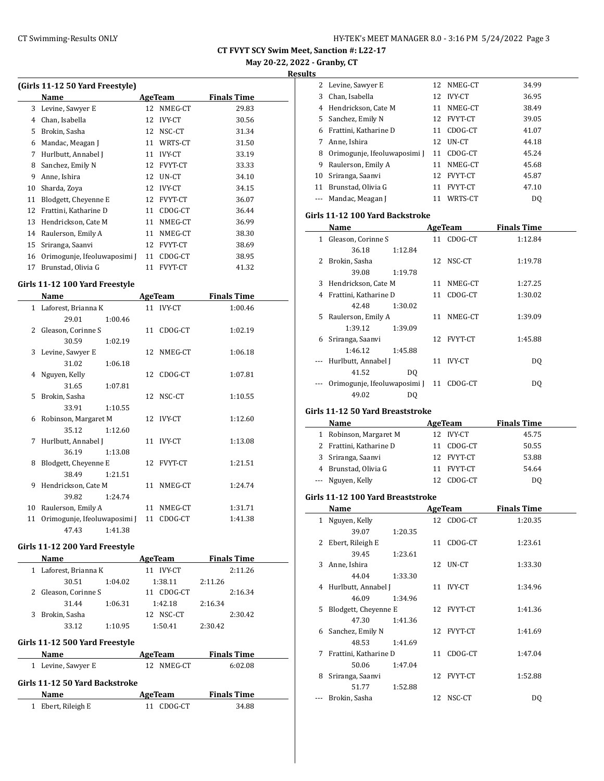**May 20-22, 2022 - Granby, CT**

**Results**

| (Girls 11-12 50 Yard Freestyle) |                              |    |                |                    |  |  |  |  |
|---------------------------------|------------------------------|----|----------------|--------------------|--|--|--|--|
|                                 | Name                         |    | AgeTeam        | <b>Finals Time</b> |  |  |  |  |
| 3                               | Levine, Sawyer E             | 12 | NMEG-CT        | 29.83              |  |  |  |  |
| 4                               | Chan, Isabella               | 12 | <b>IVY-CT</b>  | 30.56              |  |  |  |  |
| 5                               | Brokin, Sasha                | 12 | NSC-CT         | 31.34              |  |  |  |  |
| 6                               | Mandac, Meagan J             | 11 | WRTS-CT        | 31.50              |  |  |  |  |
| 7                               | Hurlbutt, Annabel J          | 11 | <b>IVY-CT</b>  | 33.19              |  |  |  |  |
| 8                               | Sanchez, Emily N             | 12 | <b>FVYT-CT</b> | 33.33              |  |  |  |  |
| 9                               | Anne, Ishira                 | 12 | UN-CT          | 34.10              |  |  |  |  |
| 10                              | Sharda, Zoya                 | 12 | <b>IVY-CT</b>  | 34.15              |  |  |  |  |
| 11                              | Blodgett, Chevenne E         | 12 | <b>FVYT-CT</b> | 36.07              |  |  |  |  |
| 12                              | Frattini, Katharine D        | 11 | CDOG-CT        | 36.44              |  |  |  |  |
| 13                              | Hendrickson, Cate M          | 11 | NMEG-CT        | 36.99              |  |  |  |  |
| 14                              | Raulerson, Emily A           | 11 | NMEG-CT        | 38.30              |  |  |  |  |
| 15                              | Sriranga, Saanvi             | 12 | <b>FVYT-CT</b> | 38.69              |  |  |  |  |
| 16                              | Orimogunje, Ifeoluwaposimi [ | 11 | CDOG-CT        | 38.95              |  |  |  |  |
| 17                              | Brunstad, Olivia G           | 11 | <b>FVYT-CT</b> | 41.32              |  |  |  |  |

### **Girls 11-12 100 Yard Freestyle**

|    | Name                         |    | AgeTeam       | <b>Finals Time</b> |
|----|------------------------------|----|---------------|--------------------|
|    | 1 Laforest, Brianna K        | 11 | <b>IVY-CT</b> | 1:00.46            |
|    | 1:00.46<br>29.01             |    |               |                    |
| 2. | Gleason, Corinne S           |    | 11 CDOG-CT    | 1:02.19            |
|    | 30.59<br>1:02.19             |    |               |                    |
|    | 3 Levine, Sawyer E           |    | 12 NMEG-CT    | 1:06.18            |
|    | 1:06.18<br>31.02             |    |               |                    |
|    | 4 Nguyen, Kelly              |    | 12 CDOG-CT    | 1:07.81            |
|    | 31.65<br>1:07.81             |    |               |                    |
| 5. | Brokin, Sasha                |    | 12 NSC-CT     | 1:10.55            |
|    | 1:10.55<br>33.91             |    |               |                    |
| 6  | Robinson, Margaret M         |    | 12 IVY-CT     | 1:12.60            |
|    | 35.12<br>1:12.60             |    |               |                    |
| 7  | Hurlbutt, Annabel J          |    | 11 IVY-CT     | 1:13.08            |
|    | 36.19<br>1:13.08             |    |               |                    |
| 8  | Blodgett, Cheyenne E         |    | 12 FVYT-CT    | 1:21.51            |
|    | 38.49<br>1:21.51             |    |               |                    |
| 9  | Hendrickson, Cate M          | 11 | NMEG-CT       | 1:24.74            |
|    | 39.82<br>1:24.74             |    |               |                    |
| 10 | Raulerson, Emily A           | 11 | NMEG-CT       | 1:31.71            |
| 11 | Orimogunje, Ifeoluwaposimi ] | 11 | CDOG-CT       | 1:41.38            |
|    | 47.43<br>1:41.38             |    |               |                    |

#### **Girls 11-12 200 Yard Freestyle**

|                                | Name                |         | AgeTeam             |           |         | <b>Finals Time</b> |  |  |  |
|--------------------------------|---------------------|---------|---------------------|-----------|---------|--------------------|--|--|--|
|                                | Laforest, Brianna K |         | <b>IVY-CT</b><br>11 |           |         | 2:11.26            |  |  |  |
|                                | 30.51               | 1:04.02 |                     | 1:38.11   | 2:11.26 |                    |  |  |  |
| 2                              | Gleason, Corinne S  |         | 11                  | CDOG-CT   |         | 2:16.34            |  |  |  |
|                                | 31.44               | 1:06.31 |                     | 1:42.18   | 2:16.34 |                    |  |  |  |
| 3                              | Brokin, Sasha       |         |                     | 12 NSC-CT |         | 2:30.42            |  |  |  |
|                                | 33.12               | 1:10.95 |                     | 1:50.41   | 2:30.42 |                    |  |  |  |
| Girls 11-12 500 Yard Freestyle |                     |         |                     |           |         |                    |  |  |  |
|                                | Name                |         |                     | AgeTeam   |         | <b>Finals Time</b> |  |  |  |
|                                | Levine, Sawyer E    |         | 12                  | NMEG-CT   |         | 6:02.08            |  |  |  |

#### **Girls 11-12 50 Yard Backstroke**

| <b>Name</b>        | AgeTeam    | <b>Finals Time</b> |
|--------------------|------------|--------------------|
| 1 Ebert, Rileigh E | 11 CDOG-CT | 34.88              |

| L3       |                              |    |                |       |
|----------|------------------------------|----|----------------|-------|
|          | 2 Levine, Sawyer E           |    | 12 NMEG-CT     | 34.99 |
| 3        | Chan, Isabella               | 12 | <b>IVY-CT</b>  | 36.95 |
| 4        | Hendrickson, Cate M          | 11 | NMEG-CT        | 38.49 |
| 5.       | Sanchez, Emily N             |    | 12 FVYT-CT     | 39.05 |
| 6        | Frattini, Katharine D        | 11 | CDOG-CT        | 41.07 |
|          | Anne, Ishira                 | 12 | UN-CT          | 44.18 |
| 8        | Orimogunje, Ifeoluwaposimi J | 11 | CDOG-CT        | 45.24 |
| 9        | Raulerson, Emily A           | 11 | NMEG-CT        | 45.68 |
| 10       | Sriranga, Saanvi             | 12 | <b>FVYT-CT</b> | 45.87 |
| 11       | Brunstad, Olivia G           | 11 | <b>FVYT-CT</b> | 47.10 |
| $\cdots$ | Mandac, Meagan J             | 11 | WRTS-CT        | DO    |

#### **Girls 11-12 100 Yard Backstroke**

|    | Name                                    |         |    | AgeTeam    | <b>Finals Time</b> |  |
|----|-----------------------------------------|---------|----|------------|--------------------|--|
| 1  | Gleason, Corinne S                      |         |    | 11 CDOG-CT | 1:12.84            |  |
|    | 36.18                                   | 1:12.84 |    |            |                    |  |
| 2  | Brokin, Sasha                           |         |    | 12 NSC-CT  | 1:19.78            |  |
|    | 39.08                                   | 1:19.78 |    |            |                    |  |
| 3  | Hendrickson, Cate M                     |         | 11 | NMEG-CT    | 1:27.25            |  |
| 4  | Frattini, Katharine D                   |         |    | 11 CDOG-CT | 1:30.02            |  |
|    | 42.48                                   | 1:30.02 |    |            |                    |  |
| 5. | Raulerson, Emily A                      |         |    | 11 NMEG-CT | 1:39.09            |  |
|    | 1:39.12                                 | 1:39.09 |    |            |                    |  |
| 6  | Sriranga, Saanvi                        |         |    | 12 FVYT-CT | 1:45.88            |  |
|    | 1:46.12                                 | 1:45.88 |    |            |                    |  |
|    | Hurlbutt, Annabel J                     |         | 11 | IVY-CT     | DO.                |  |
|    | 41.52                                   | DO.     |    |            |                    |  |
|    | Orimogunie, Ifeoluwaposimi   11 CDOG-CT |         |    |            | DO                 |  |
|    | 49.02                                   | DO      |    |            |                    |  |

#### **Girls 11-12 50 Yard Breaststroke**

 $\overline{a}$ 

|   | Name                    | AgeTeam    | <b>Finals Time</b> |
|---|-------------------------|------------|--------------------|
| 1 | Robinson, Margaret M    | 12 IVY-CT  | 45.75              |
|   | 2 Frattini, Katharine D | 11 CDOG-CT | 50.55              |
|   | 3 Sriranga, Saanvi      | 12 FVYT-CT | 53.88              |
|   | 4 Brunstad, Olivia G    | 11 FVYT-CT | 54.64              |
|   | --- Nguyen, Kelly       | CDOG-CT    | DO                 |

#### **Girls 11-12 100 Yard Breaststroke**

|              | Name                  |         |    | AgeTeam        | <b>Finals Time</b> |
|--------------|-----------------------|---------|----|----------------|--------------------|
| $\mathbf{1}$ | Nguyen, Kelly         |         |    | 12 CDOG-CT     | 1:20.35            |
|              | 39.07                 | 1:20.35 |    |                |                    |
| 2            | Ebert, Rileigh E      |         |    | 11 CDOG-CT     | 1:23.61            |
|              | 39.45                 | 1:23.61 |    |                |                    |
|              | 3 Anne, Ishira        |         |    | 12 UN-CT       | 1:33.30            |
|              | 44.04                 | 1:33.30 |    |                |                    |
|              | 4 Hurlbutt, Annabel J |         |    | 11 IVY-CT      | 1:34.96            |
|              | 46.09                 | 1:34.96 |    |                |                    |
| 5.           | Blodgett, Cheyenne E  |         |    | 12 FVYT-CT     | 1:41.36            |
|              | 47.30                 | 1:41.36 |    |                |                    |
| 6            | Sanchez, Emily N      |         |    | 12 FVYT-CT     | 1:41.69            |
|              | 48.53                 | 1:41.69 |    |                |                    |
| 7            | Frattini, Katharine D |         |    | 11 CDOG-CT     | 1:47.04            |
|              | 50.06                 | 1:47.04 |    |                |                    |
| 8            | Sriranga, Saanvi      |         | 12 | <b>FVYT-CT</b> | 1:52.88            |
|              | 51.77                 | 1:52.88 |    |                |                    |
|              | Brokin, Sasha         |         | 12 | NSC-CT         | DQ                 |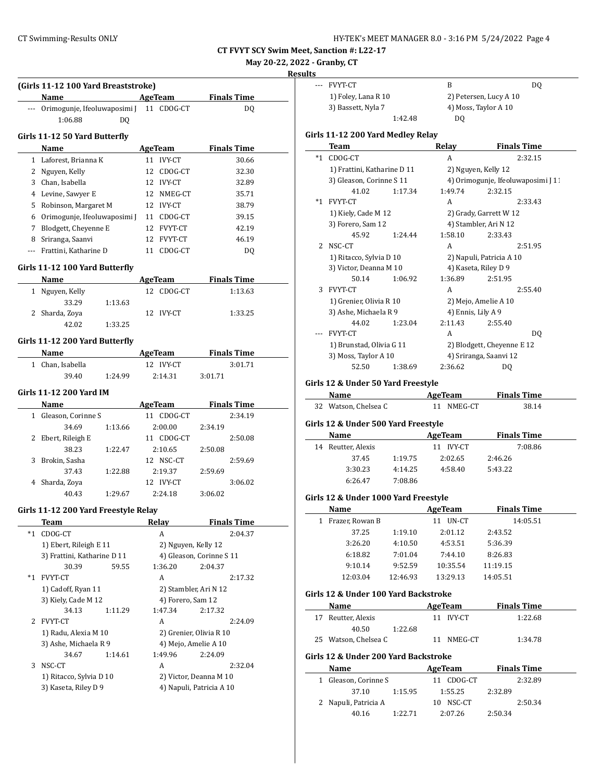**May 20-22, 2022 - Granby, CT**

|          |                                              |                              |                          | <b>Results</b>                       |               |
|----------|----------------------------------------------|------------------------------|--------------------------|--------------------------------------|---------------|
|          | (Girls 11-12 100 Yard Breaststroke)          |                              |                          | --- FVYT-CT                          | $\, {\bf B}$  |
|          | Name                                         | <b>AgeTeam</b>               | <b>Finals Time</b>       | 1) Foley, Lana R 10                  | 2)            |
|          | --- Orimogunje, Ifeoluwaposimi ]             | 11 CDOG-CT                   | DQ                       | 3) Bassett, Nyla 7                   | 4)            |
|          | 1:06.88<br>DQ                                |                              |                          | 1:42.48                              |               |
|          | Girls 11-12 50 Yard Butterfly                |                              |                          | Girls 11-12 200 Yard Medley Relay    |               |
|          | Name                                         | AgeTeam                      | <b>Finals Time</b>       | <b>Team</b>                          | Relay         |
|          | 1 Laforest, Brianna K                        | 11 IVY-CT                    | 30.66                    | *1 CDOG-CT                           | A             |
|          |                                              | 12 CDOG-CT                   | 32.30                    | 1) Frattini, Katharine D 11          | 2)            |
|          | 2 Nguyen, Kelly<br>3 Chan, Isabella          | 12 IVY-CT                    |                          | 3) Gleason, Corinne S 11             | 4)            |
|          |                                              |                              | 32.89<br>35.71           | 41.02<br>1:17.34                     | 1:49          |
|          | 4 Levine, Sawyer E<br>5 Robinson, Margaret M | 12 NMEG-CT                   |                          | *1 FVYT-CT                           | A             |
|          |                                              | 12 IVY-CT                    | 38.79                    | 1) Kiely, Cade M 12                  | 2)            |
| 6        | Orimogunje, Ifeoluwaposimi J                 | 11 CDOG-CT                   | 39.15                    | 3) Forero, Sam 12                    | 4)            |
|          | 7 Blodgett, Cheyenne E                       | 12 FVYT-CT                   | 42.19                    | 45.92<br>1:24.44                     | 1:58          |
|          | 8 Sriranga, Saanvi                           | 12 FVYT-CT                   | 46.19                    | 2 NSC-CT                             | A             |
| $\cdots$ | Frattini, Katharine D                        | 11 CDOG-CT                   | DQ                       | 1) Ritacco, Sylvia D 10              | 2)            |
|          | Girls 11-12 100 Yard Butterfly               |                              |                          | 3) Victor, Deanna M 10               | 4)            |
|          | Name                                         | <b>AgeTeam</b>               | <b>Finals Time</b>       | 50.14<br>1:06.92                     | 1:36          |
|          | 1 Nguyen, Kelly                              | 12 CDOG-CT                   | 1:13.63                  | 3 FVYT-CT                            | A             |
|          | 33.29<br>1:13.63                             |                              |                          | 1) Grenier, Olivia R 10              | 2)            |
|          | 2 Sharda, Zova                               | 12 IVY-CT                    | 1:33.25                  | 3) Ashe, Michaela R 9                | 4)            |
|          | 42.02<br>1:33.25                             |                              |                          | 44.02<br>1:23.04                     | 2:11          |
|          |                                              |                              |                          | --- FVYT-CT                          | A             |
|          | Girls 11-12 200 Yard Butterfly               |                              |                          | 1) Brunstad, Olivia G 11             | 2)            |
|          | Name                                         | <b>AgeTeam</b>               | <b>Finals Time</b>       | 3) Moss, Taylor A 10                 | 4)            |
|          | 1 Chan, Isabella                             | 12 IVY-CT                    | 3:01.71                  | 1:38.69<br>52.50                     | 2:36          |
|          | 39.40<br>1:24.99                             | 2:14.31                      | 3:01.71                  |                                      |               |
|          | Girls 11-12 200 Yard IM                      |                              |                          | Girls 12 & Under 50 Yard Freestyle   |               |
|          | Name                                         |                              | <b>Finals Time</b>       | Name                                 | AgeTea        |
|          | 1 Gleason, Corinne S                         | <b>AgeTeam</b><br>11 CDOG-CT | 2:34.19                  | 32 Watson, Chelsea C                 | 11 N          |
|          | 34.69                                        |                              |                          | Girls 12 & Under 500 Yard Freestyle  |               |
|          | 1:13.66                                      | 2:00.00                      | 2:34.19<br>2:50.08       | Name                                 | AgeTea        |
|          | 2 Ebert, Rileigh E<br>38.23                  | 11 CDOG-CT                   |                          | 14 Reutter, Alexis                   | 11 IV         |
|          | 1:22.47<br>3 Brokin, Sasha                   | 2:10.65<br>12 NSC-CT         | 2:50.08<br>2:59.69       | 37.45<br>1:19.75                     | 2:02          |
|          | 37.43                                        | 2:19.37                      |                          | 3:30.23<br>4:14.25                   | 4:58          |
|          | 1:22.88<br>4 Sharda, Zoya                    | 12 IVY-CT                    | 2:59.69<br>3:06.02       | 7:08.86<br>6:26.47                   |               |
|          | 40.43                                        | 2:24.18                      |                          |                                      |               |
|          | 1:29.67                                      |                              | 3:06.02                  | Girls 12 & Under 1000 Yard Freestyle |               |
|          | Girls 11-12 200 Yard Freestyle Relay         |                              |                          | Name                                 | <b>AgeTea</b> |
|          | <b>Team</b>                                  | Relay                        | <b>Finals Time</b>       | 1 Frazer, Rowan B                    | 11 UI         |
|          | *1 CDOG-CT                                   | A                            | 2:04.37                  | 37.25<br>1:19.10                     | 2:01          |
|          | 1) Ebert, Rileigh E 11                       | 2) Nguyen, Kelly 12          |                          | 3:26.20<br>4:10.50                   | 4:53          |
|          | 3) Frattini, Katharine D 11                  |                              | 4) Gleason, Corinne S 11 | 6:18.82<br>7:01.04                   | 7:44          |
|          | 30.39<br>59.55                               | 1:36.20                      | 2:04.37                  | 9:10.14<br>9:52.59                   | 10:35         |
|          | *1 FVYT-CT                                   | A                            | 2:17.32                  | 12:03.04<br>12:46.93                 | 13:29         |
|          | 1) Cadoff, Ryan 11                           | 2) Stambler, Ari N 12        |                          |                                      |               |
|          | 3) Kiely, Cade M 12                          | 4) Forero, Sam 12            |                          | Girls 12 & Under 100 Yard Backstroke |               |
|          | 34.13<br>1:11.29                             | 1:47.34                      | 2:17.32                  | Name                                 | <b>AgeTea</b> |
|          | 2 FVYT-CT                                    | A                            | 2:24.09                  | 17 Reutter, Alexis                   | 11 IV         |
|          | 1) Radu, Alexia M 10                         | 2) Grenier, Olivia R 10      |                          | 40.50<br>1:22.68                     |               |
|          | 3) Ashe, Michaela R 9                        | 4) Mejo, Amelie A 10         |                          | 25 Watson, Chelsea C                 | 11 N          |
|          | 34.67<br>1:14.61                             | 1:49.96                      | 2:24.09                  | Girls 12 & Under 200 Yard Backstroke |               |
|          | 3 NSC-CT                                     | A                            | 2:32.04                  | Name                                 | AgeTea        |
|          | 1) Ritacco, Sylvia D 10                      |                              | 2) Victor, Deanna M 10   | 1 Gleason, Corinne S                 | 11 CI         |
|          | 3) Kaseta, Riley D 9                         |                              | 4) Napuli, Patricia A 10 | 37.10<br>1:15.95                     | 1:55          |
|          |                                              |                              |                          | 2 Napuli, Patricia A                 | 10 N.         |
|          |                                              |                              |                          |                                      |               |

| lts<br>--- |                                      |          |                      |                                    |  |
|------------|--------------------------------------|----------|----------------------|------------------------------------|--|
|            |                                      |          |                      |                                    |  |
|            | <b>FVYT-CT</b>                       |          | B                    | DQ                                 |  |
|            | 1) Foley, Lana R 10                  |          |                      | 2) Petersen, Lucy A 10             |  |
|            | 3) Bassett, Nyla 7                   |          | 4) Moss, Taylor A 10 |                                    |  |
|            |                                      | 1:42.48  | DQ                   |                                    |  |
|            | Girls 11-12 200 Yard Medley Relay    |          |                      |                                    |  |
|            | Team                                 |          | Relay                | <u>Finals Time</u>                 |  |
| $*1$       | CDOG-CT                              |          | A                    | 2:32.15                            |  |
|            | 1) Frattini, Katharine D 11          |          | 2) Nguyen, Kelly 12  |                                    |  |
|            | 3) Gleason, Corinne S 11             |          |                      | 4) Orimogunje, Ifeoluwaposimi J 11 |  |
|            | 41.02                                | 1:17.34  | 1:49.74              | 2:32.15                            |  |
| *1         | FVYT-CT                              |          | A                    | 2:33.43                            |  |
|            | 1) Kiely, Cade M 12                  |          |                      | 2) Grady, Garrett W 12             |  |
|            | 3) Forero, Sam 12                    |          |                      | 4) Stambler, Ari N 12              |  |
|            | 45.92                                | 1:24.44  | 1:58.10              | 2:33.43                            |  |
| 2          | NSC-CT                               |          | A                    | 2:51.95                            |  |
|            | 1) Ritacco, Sylvia D 10              |          |                      | 2) Napuli, Patricia A 10           |  |
|            | 3) Victor, Deanna M 10               |          | 4) Kaseta, Riley D 9 |                                    |  |
|            | 50.14                                | 1:06.92  | 1:36.89              | 2:51.95                            |  |
| 3          | FVYT-CT                              |          | A                    | 2:55.40                            |  |
|            | 1) Grenier, Olivia R 10              |          |                      | 2) Mejo, Amelie A 10               |  |
|            | 3) Ashe, Michaela R 9                |          | 4) Ennis, Lily A 9   |                                    |  |
|            | 44.02                                | 1:23.04  | 2:11.43              | 2:55.40                            |  |
|            | <b>FVYT-CT</b>                       |          | A                    | DQ                                 |  |
|            | 1) Brunstad, Olivia G 11             |          |                      | 2) Blodgett, Cheyenne E 12         |  |
|            | 3) Moss, Taylor A 10                 |          |                      | 4) Sriranga, Saanvi 12             |  |
|            |                                      | 1:38.69  | 2:36.62              | DQ                                 |  |
|            | 52.50                                |          |                      |                                    |  |
|            |                                      |          |                      |                                    |  |
|            | Girls 12 & Under 50 Yard Freestyle   |          |                      |                                    |  |
|            | Name                                 |          | <b>AgeTeam</b>       | <b>Finals Time</b>                 |  |
|            | 32 Watson, Chelsea C                 |          | 11 NMEG-CT           | 38.14                              |  |
|            | Girls 12 & Under 500 Yard Freestyle  |          |                      |                                    |  |
|            | Name                                 |          | <b>AgeTeam</b>       | <b>Finals Time</b>                 |  |
|            | 14 Reutter, Alexis                   |          | 11 IVY-CT            | 7:08.86                            |  |
|            | 37.45                                | 1:19.75  | 2:02.65              | 2:46.26                            |  |
|            | 3:30.23                              | 4:14.25  | 4:58.40              | 5:43.22                            |  |
|            | 6:26.47                              | 7:08.86  |                      |                                    |  |
|            | Girls 12 & Under 1000 Yard Freestyle |          |                      |                                    |  |
|            | Name                                 |          | <b>AgeTeam</b>       | <b>Finals Time</b>                 |  |
| 1          | Frazer, Rowan B                      |          | 11 UN-CT             | 14:05.51                           |  |
|            | 37.25                                | 1:19.10  | 2:01.12              | 2:43.52                            |  |
|            | 3:26.20                              | 4:10.50  | 4:53.51              | 5:36.39                            |  |
|            | 6:18.82                              | 7:01.04  | 7:44.10              | 8:26.83                            |  |
|            | 9:10.14                              | 9:52.59  | 10:35.54             | 11:19.15                           |  |
|            | 12:03.04                             | 12:46.93 | 13:29.13             | 14:05.51                           |  |

**Name AgeTeam Finals Time** 17 Reutter, Alexis 11 IVY-CT 1:22.68

**Name AgeTeam Finals Time** 1 Gleason, Corinne S 11 CDOG-CT 2:32.89 37.10 1:15.95 1:55.25 2:32.89 2 Napuli, Patricia A 10 NSC-CT 2:50.34 40.16 1:22.71 2:07.26 2:50.34

25 Watson, Chelsea C 11 NMEG-CT 1:34.78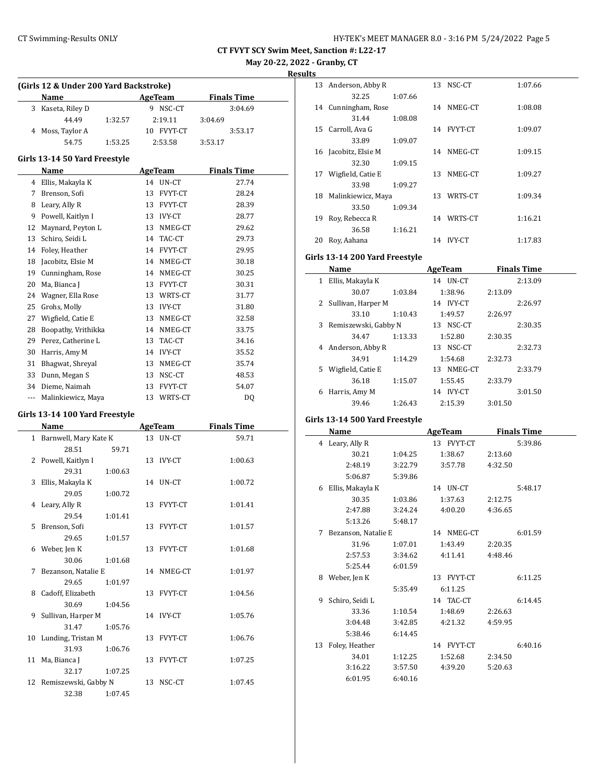**May 20-22, 2022 - Granby, CT**

**Results**

|    | (Girls 12 & Under 200 Yard Backstroke) |         |    |                |                    |  |
|----|----------------------------------------|---------|----|----------------|--------------------|--|
|    | Name                                   |         |    | AgeTeam        | <b>Finals Time</b> |  |
| 3  | Kaseta, Riley D                        |         |    | 9 NSC-CT       | 3:04.69            |  |
|    | 44.49                                  | 1:32.57 |    | 2:19.11        | 3:04.69            |  |
| 4  | Moss, Taylor A                         |         |    | 10 FVYT-CT     | 3:53.17            |  |
|    | 54.75                                  | 1:53.25 |    | 2:53.58        | 3:53.17            |  |
|    |                                        |         |    |                |                    |  |
|    | Girls 13-14 50 Yard Freestyle<br>Name  |         |    |                | <b>Finals Time</b> |  |
|    |                                        |         | 14 | <b>AgeTeam</b> |                    |  |
|    | 4 Ellis, Makayla K                     |         |    | UN-CT          | 27.74              |  |
|    | 7 Brenson, Sofi                        |         | 13 | FVYT-CT        | 28.24              |  |
|    | 8 Leary, Ally R                        |         | 13 | FVYT-CT        | 28.39              |  |
| 9  | Powell, Kaitlyn I                      |         | 13 | IVY-CT         | 28.77              |  |
|    | 12 Maynard, Peyton L                   |         | 13 | NMEG-CT        | 29.62              |  |
| 13 | Schiro, Seidi L                        |         | 14 | TAC-CT         | 29.73              |  |
|    | 14 Foley, Heather                      |         | 14 | <b>FVYT-CT</b> | 29.95              |  |
| 18 | Jacobitz, Elsie M                      |         | 14 | NMEG-CT        | 30.18              |  |
|    | 19 Cunningham, Rose                    |         | 14 | NMEG-CT        | 30.25              |  |
| 20 | Ma, Bianca J                           |         | 13 | FVYT-CT        | 30.31              |  |
|    | 24 Wagner, Ella Rose                   |         | 13 | WRTS-CT        | 31.77              |  |
| 25 | Grohs, Molly                           |         | 13 | <b>IVY-CT</b>  | 31.80              |  |
|    | 27 Wigfield, Catie E                   |         | 13 | NMEG-CT        | 32.58              |  |
|    | 28 Boopathy, Vrithikka                 |         | 14 | NMEG-CT        | 33.75              |  |
|    | 29 Perez, Catherine L                  |         | 13 | TAC-CT         | 34.16              |  |
|    | 30 Harris, Amy M                       |         | 14 | IVY-CT         | 35.52              |  |
|    | 31 Bhagwat, Shreyal                    |         | 13 | NMEG-CT        | 35.74              |  |
|    | 33 Dunn, Megan S                       |         | 13 | NSC-CT         | 48.53              |  |
|    | 34 Dieme, Naimah                       |         | 13 | FVYT-CT        | 54.07              |  |
|    | --- Malinkiewicz, Maya                 |         |    | 13 WRTS-CT     | DQ                 |  |
|    | Girls 13-14 100 Yard Freestyle         |         |    |                |                    |  |
|    | Name                                   |         |    | <b>AgeTeam</b> | <b>Finals Time</b> |  |
|    | 1 Barnwell, Mary Kate K                |         | 13 | UN-CT          | 59.71              |  |
|    | 28.51                                  | 59.71   |    |                |                    |  |
| 2  | Powell, Kaitlyn I                      |         | 13 | <b>IVY-CT</b>  | 1:00.63            |  |
|    | 29.31                                  | 1:00.63 |    |                |                    |  |
| 3  | Ellis, Makayla K                       |         | 14 | UN-CT          | 1:00.72            |  |
|    | 29.05                                  | 1:00.72 |    |                |                    |  |
| 4  | Leary, Ally R                          |         | 13 | <b>FVYT-CT</b> | 1:01.41            |  |
|    | 29.54                                  | 1:01.41 |    |                |                    |  |
| 5  | Brenson, Sofi                          |         | 13 | FVYT-CT        | 1:01.57            |  |
|    | 29.65                                  | 1:01.57 |    |                |                    |  |
| 6  | Weber, Jen K                           |         | 13 | FVYT-CT        | 1:01.68            |  |
|    | 30.06                                  | 1:01.68 |    |                |                    |  |
| 7  | Bezanson, Natalie E                    |         | 14 | NMEG-CT        | 1:01.97            |  |
|    | 29.65                                  | 1:01.97 |    |                |                    |  |
| 8  | Cadoff, Elizabeth                      |         | 13 | FVYT-CT        | 1:04.56            |  |
|    | 30.69                                  | 1:04.56 |    |                |                    |  |
| 9  | Sullivan, Harper M                     |         | 14 | <b>IVY-CT</b>  | 1:05.76            |  |
|    | 31.47                                  | 1:05.76 |    |                |                    |  |
| 10 | Lunding, Tristan M                     |         | 13 | FVYT-CT        | 1:06.76            |  |
|    | 31.93                                  | 1:06.76 |    |                |                    |  |
| 11 | Ma, Bianca J                           |         | 13 | FVYT-CT        | 1:07.25            |  |
|    | 32.17                                  | 1:07.25 |    |                |                    |  |
| 12 | Remiszewski, Gabby N                   |         | 13 | NSC-CT         | 1:07.45            |  |
|    | 32.38                                  | 1:07.45 |    |                |                    |  |

| LS. |                      |         |    |            |         |
|-----|----------------------|---------|----|------------|---------|
| 13  | Anderson, Abby R     |         | 13 | NSC-CT     | 1:07.66 |
|     | 32.25                | 1:07.66 |    |            |         |
| 14  | Cunningham, Rose     |         |    | 14 NMEG-CT | 1:08.08 |
|     | 31.44                | 1:08.08 |    |            |         |
| 15  | Carroll, Ava G       |         |    | 14 FVYT-CT | 1:09.07 |
|     | 33.89                | 1:09.07 |    |            |         |
|     | 16 Jacobitz, Elsie M |         | 14 | NMEG-CT    | 1:09.15 |
|     | 32.30                | 1:09.15 |    |            |         |
| 17  | Wigfield, Catie E    |         | 13 | NMEG-CT    | 1:09.27 |
|     | 33.98                | 1:09.27 |    |            |         |
| 18  | Malinkiewicz, Maya   |         | 13 | WRTS-CT    | 1:09.34 |
|     | 33.50                | 1:09.34 |    |            |         |
| 19  | Roy, Rebecca R       |         |    | 14 WRTS-CT | 1:16.21 |
|     | 36.58                | 1:16.21 |    |            |         |
| 20  | Roy, Aahana          |         | 14 | IVY-CT     | 1:17.83 |
|     |                      |         |    |            |         |

# **Girls 13-14 200 Yard Freestyle**

|    | Name                 |         | AgeTeam         | <b>Finals Time</b> |  |
|----|----------------------|---------|-----------------|--------------------|--|
| 1  | Ellis, Makayla K     |         | 14 <b>UN-CT</b> | 2:13.09            |  |
|    | 30.07                | 1:03.84 | 1:38.96         | 2:13.09            |  |
|    | 2 Sullivan, Harper M |         | 14 IVY-CT       | 2:26.97            |  |
|    | 33.10                | 1:10.43 | 1:49.57         | 2:26.97            |  |
| 3  | Remiszewski, Gabby N |         | 13 NSC-CT       | 2:30.35            |  |
|    | 34.47                | 1:13.33 | 1:52.80         | 2:30.35            |  |
| 4  | Anderson, Abby R     |         | 13 NSC-CT       | 2:32.73            |  |
|    | 34.91                | 1:14.29 | 1:54.68         | 2:32.73            |  |
| 5. | Wigfield, Catie E    |         | NMEG-CT<br>13   | 2:33.79            |  |
|    | 36.18                | 1:15.07 | 1:55.45         | 2:33.79            |  |
| 6  | Harris, Amy M        |         | IVY-CT<br>14    | 3:01.50            |  |
|    | 39.46                | 1:26.43 | 2:15.39         | 3:01.50            |  |

### **Girls 13-14 500 Yard Freestyle**

|    | Name                |         | <b>AgeTeam</b> | <b>Finals Time</b> |
|----|---------------------|---------|----------------|--------------------|
| 4  | Leary, Ally R       |         | 13 FVYT-CT     | 5:39.86            |
|    | 30.21               | 1:04.25 | 1:38.67        | 2:13.60            |
|    | 2:48.19             | 3:22.79 | 3:57.78        | 4:32.50            |
|    | 5:06.87             | 5:39.86 |                |                    |
| 6  | Ellis, Makayla K    |         | 14 UN-CT       | 5:48.17            |
|    | 30.35               | 1:03.86 | 1:37.63        | 2:12.75            |
|    | 2:47.88             | 3:24.24 | 4:00.20        | 4:36.65            |
|    | 5:13.26             | 5:48.17 |                |                    |
| 7  | Bezanson, Natalie E |         | 14 NMEG-CT     | 6:01.59            |
|    | 31.96               | 1:07.01 | 1:43.49        | 2:20.35            |
|    | 2:57.53             | 3:34.62 | 4:11.41        | 4:48.46            |
|    | 5:25.44             | 6:01.59 |                |                    |
| 8  | Weber, Jen K        |         | 13 FVYT-CT     | 6:11.25            |
|    |                     | 5:35.49 | 6:11.25        |                    |
| 9  | Schiro, Seidi L     |         | 14 TAC-CT      | 6:14.45            |
|    | 33.36               | 1:10.54 | 1:48.69        | 2:26.63            |
|    | 3:04.48             | 3:42.85 | 4:21.32        | 4:59.95            |
|    | 5:38.46             | 6:14.45 |                |                    |
| 13 | Foley, Heather      |         | 14 FVYT-CT     | 6:40.16            |
|    | 34.01               | 1:12.25 | 1:52.68        | 2:34.50            |
|    | 3:16.22             | 3:57.50 | 4:39.20        | 5:20.63            |
|    | 6:01.95             | 6:40.16 |                |                    |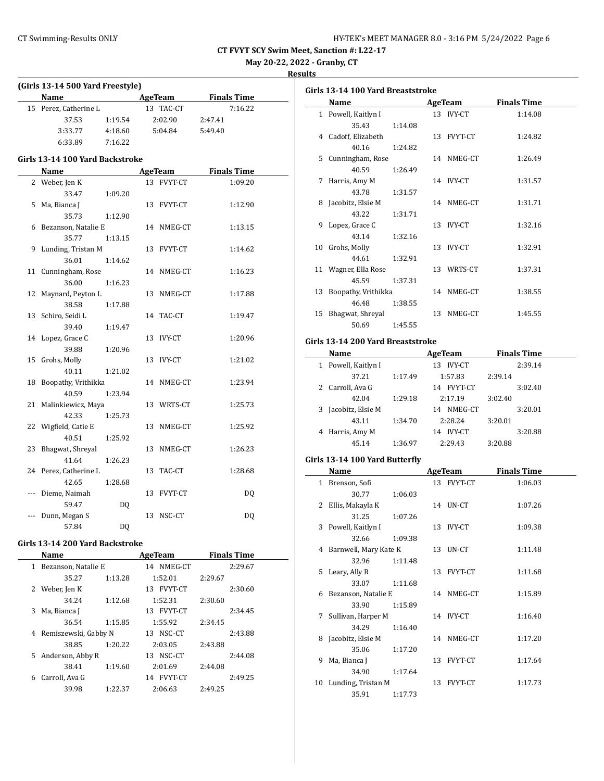| HY-TEK's MEET MANAGER 8.0 - 3:16 PM 5/24/2022 Page 6 |  |  |  |
|------------------------------------------------------|--|--|--|
|------------------------------------------------------|--|--|--|

**May 20-22, 2022 - Granby, CT**

**Results**

|       | (Girls 13-14 500 Yard Freestyle) |                |    |                |         |                    |  |
|-------|----------------------------------|----------------|----|----------------|---------|--------------------|--|
|       | Name                             |                |    | AgeTeam        |         | <b>Finals Time</b> |  |
| 15    | Perez, Catherine L               |                |    | 13 TAC-CT      |         | 7:16.22            |  |
|       | 37.53                            | 1:19.54        |    | 2:02.90        | 2:47.41 |                    |  |
|       | 3:33.77                          | 4:18.60        |    | 5:04.84        | 5:49.40 |                    |  |
|       | 6:33.89                          | 7:16.22        |    |                |         |                    |  |
|       | Girls 13-14 100 Yard Backstroke  |                |    |                |         |                    |  |
|       | Name                             |                |    | AgeTeam        |         | <b>Finals Time</b> |  |
|       | 2 Weber, Jen K                   |                |    | 13 FVYT-CT     |         | 1:09.20            |  |
|       | 33.47                            | 1:09.20        |    |                |         |                    |  |
| 5     | Ma, Bianca J                     |                |    | 13 FVYT-CT     |         | 1:12.90            |  |
|       | 35.73                            | 1:12.90        |    |                |         |                    |  |
|       | 6 Bezanson, Natalie E            |                |    | 14 NMEG-CT     |         | 1:13.15            |  |
|       | 35.77                            | 1:13.15        |    |                |         |                    |  |
| 9     | Lunding, Tristan M               |                |    | 13 FVYT-CT     |         | 1:14.62            |  |
|       | 36.01                            | 1:14.62        |    |                |         |                    |  |
|       | 11 Cunningham, Rose              |                |    | 14 NMEG-CT     |         | 1:16.23            |  |
|       | 36.00                            | 1:16.23        |    |                |         |                    |  |
| 12    | Maynard, Peyton L                |                | 13 | NMEG-CT        |         | 1:17.88            |  |
|       | 38.58                            | 1:17.88        |    |                |         |                    |  |
| 13    | Schiro, Seidi L                  |                | 14 | TAC-CT         |         | 1:19.47            |  |
|       | 39.40                            | 1:19.47        |    |                |         |                    |  |
|       | 14 Lopez, Grace C                |                | 13 | <b>IVY-CT</b>  |         | 1:20.96            |  |
|       | 39.88                            | 1:20.96        |    |                |         |                    |  |
| 15    | Grohs, Molly                     |                |    | 13 IVY-CT      |         | 1:21.02            |  |
|       | 40.11                            | 1:21.02        |    |                |         |                    |  |
| 18    | Boopathy, Vrithikka              |                |    | 14 NMEG-CT     |         | 1:23.94            |  |
|       | 40.59                            | 1:23.94        |    |                |         |                    |  |
| 21    | Malinkiewicz, Maya               |                |    | 13 WRTS-CT     |         | 1:25.73            |  |
|       | 42.33                            | 1:25.73        |    |                |         |                    |  |
| 22    | Wigfield, Catie E                |                |    | 13 NMEG-CT     |         | 1:25.92            |  |
|       | 40.51                            | 1:25.92        |    |                |         |                    |  |
| 23    | Bhagwat, Shreyal                 |                | 13 | NMEG-CT        |         | 1:26.23            |  |
|       | 41.64                            | 1:26.23        |    |                |         |                    |  |
| 24    | Perez, Catherine L               |                | 13 | TAC-CT         |         | 1:28.68            |  |
|       | 42.65                            | 1:28.68        |    |                |         |                    |  |
| $---$ | Dieme, Naimah                    |                |    | 13 FVYT-CT     |         | DQ                 |  |
|       | 59.47                            | DQ             |    |                |         |                    |  |
| ---   | Dunn, Megan S                    |                | 13 | NSC-CT         |         | DQ                 |  |
|       | 57.84                            | D <sub>0</sub> |    |                |         |                    |  |
|       |                                  |                |    |                |         |                    |  |
|       | Girls 13-14 200 Yard Backstroke  |                |    |                |         |                    |  |
|       | <b>Name</b>                      |                |    | <b>AgeTeam</b> |         | <b>Finals Time</b> |  |

|    | ivalile              |         | детеаш        |         | rinais Thile |
|----|----------------------|---------|---------------|---------|--------------|
| 1  | Bezanson, Natalie E  |         | 14 NMEG-CT    |         | 2:29.67      |
|    | 35.27                | 1:13.28 | 1:52.01       | 2:29.67 |              |
| 2  | Weber, Jen K         |         | FVYT-CT<br>13 |         | 2:30.60      |
|    | 34.24                | 1:12.68 | 1:52.31       | 2:30.60 |              |
| 3  | Ma, Bianca J         |         | FVYT-CT<br>13 |         | 2:34.45      |
|    | 36.54                | 1:15.85 | 1:55.92       | 2:34.45 |              |
| 4  | Remiszewski, Gabby N |         | 13 NSC-CT     |         | 2:43.88      |
|    | 38.85                | 1:20.22 | 2:03.05       | 2:43.88 |              |
| 5. | Anderson, Abby R     |         | 13 NSC-CT     |         | 2:44.08      |
|    | 38.41                | 1:19.60 | 2:01.69       | 2:44.08 |              |
| 6  | Carroll, Ava G       |         | 14 FVYT-CT    |         | 2:49.25      |
|    | 39.98                | 1:22.37 | 2:06.63       | 2:49.25 |              |

| Girls 13-14 100 Yard Breaststroke |         |  |            |                    |  |  |  |
|-----------------------------------|---------|--|------------|--------------------|--|--|--|
| Name                              |         |  | AgeTeam    | <b>Finals Time</b> |  |  |  |
| 1 Powell, Kaitlyn I               |         |  | 13 IVY-CT  | 1:14.08            |  |  |  |
| 35.43                             | 1:14.08 |  |            |                    |  |  |  |
| 4 Cadoff, Elizabeth               |         |  | 13 FVYT-CT | 1:24.82            |  |  |  |
| 40.16                             | 1:24.82 |  |            |                    |  |  |  |
| 5 Cunningham, Rose                |         |  | 14 NMEG-CT | 1:26.49            |  |  |  |
| 40.59                             | 1:26.49 |  |            |                    |  |  |  |
| 7 Harris, Amy M                   |         |  | 14 IVY-CT  | 1:31.57            |  |  |  |
| 43.78                             | 1:31.57 |  |            |                    |  |  |  |
| 8 Jacobitz, Elsie M               |         |  | 14 NMEG-CT | 1:31.71            |  |  |  |
| 43.22                             | 1:31.71 |  |            |                    |  |  |  |
| 9 Lopez, Grace C                  |         |  | 13 IVY-CT  | 1:32.16            |  |  |  |
| 43.14                             | 1:32.16 |  |            |                    |  |  |  |
| 10 Grohs, Molly                   |         |  | 13 IVY-CT  | 1:32.91            |  |  |  |
| 44.61                             | 1:32.91 |  |            |                    |  |  |  |
| 11 Wagner, Ella Rose              |         |  | 13 WRTS-CT | 1:37.31            |  |  |  |
| 45.59                             | 1:37.31 |  |            |                    |  |  |  |
| 13 Boopathy, Vrithikka            |         |  | 14 NMEG-CT | 1:38.55            |  |  |  |
| 46.48                             | 1:38.55 |  |            |                    |  |  |  |
| 15 Bhagwat, Shreyal               |         |  | 13 NMEG-CT | 1:45.55            |  |  |  |
| 50.69                             | 1:45.55 |  |            |                    |  |  |  |

# **Girls 13-14 200 Yard Breaststroke**

|   | Name                |         | AgeTeam              | <b>Finals Time</b> |  |
|---|---------------------|---------|----------------------|--------------------|--|
|   | 1 Powell, Kaitlyn I |         | IVY-CT<br>13         | 2:39.14            |  |
|   | 37.21               | 1:17.49 | 1:57.83              | 2:39.14            |  |
|   | 2 Carroll, Ava G    |         | <b>FVYT-CT</b><br>14 | 3:02.40            |  |
|   | 42.04               | 1:29.18 | 2:17.19              | 3:02.40            |  |
| 3 | Jacobitz, Elsie M   |         | NMEG-CT<br>14        | 3:20.01            |  |
|   | 43.11               | 1:34.70 | 2:28.24              | 3:20.01            |  |
|   | 4 Harris, Amy M     |         | <b>IVY-CT</b><br>14  | 3:20.88            |  |
|   | 45.14               | 1:36.97 | 2:29.43              | 3:20.88            |  |

### **Girls 13-14 100 Yard Butterfly**

|   | Name                    |         | AgeTeam    | <b>Finals Time</b> |  |  |
|---|-------------------------|---------|------------|--------------------|--|--|
|   | 1 Brenson, Sofi         |         | 13 FVYT-CT | 1:06.03            |  |  |
|   | 30.77                   | 1:06.03 |            |                    |  |  |
| 2 | Ellis, Makayla K        |         | 14 UN-CT   | 1:07.26            |  |  |
|   | 31.25                   | 1:07.26 |            |                    |  |  |
|   | 3 Powell, Kaitlyn I     |         | 13 IVY-CT  | 1:09.38            |  |  |
|   | 32.66                   | 1:09.38 |            |                    |  |  |
|   | 4 Barnwell, Mary Kate K |         | 13 UN-CT   | 1:11.48            |  |  |
|   | 32.96                   | 1:11.48 |            |                    |  |  |
|   | 5 Leary, Ally R         |         | 13 FVYT-CT | 1:11.68            |  |  |
|   | 33.07                   | 1:11.68 |            |                    |  |  |
|   | 6 Bezanson, Natalie E   |         | 14 NMEG-CT | 1:15.89            |  |  |
|   | 33.90                   | 1:15.89 |            |                    |  |  |
| 7 | Sullivan, Harper M      |         | 14 IVY-CT  | 1:16.40            |  |  |
|   | 34.29                   | 1:16.40 |            |                    |  |  |
|   | 8 Jacobitz, Elsie M     |         | 14 NMEG-CT | 1:17.20            |  |  |
|   | 35.06                   | 1:17.20 |            |                    |  |  |
| 9 | Ma, Bianca J            |         | 13 FVYT-CT | 1:17.64            |  |  |
|   | 34.90                   | 1:17.64 |            |                    |  |  |
|   | 10 Lunding, Tristan M   |         | 13 FVYT-CT | 1:17.73            |  |  |
|   | 35.91                   | 1:17.73 |            |                    |  |  |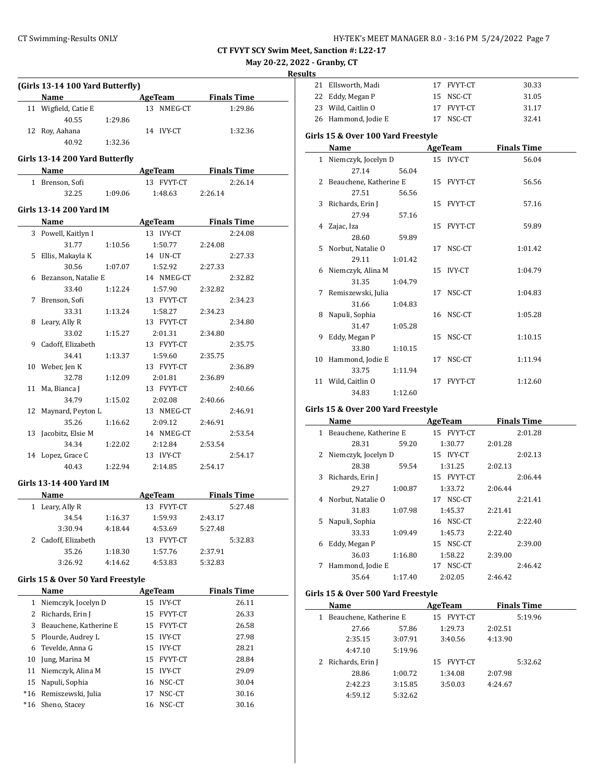**May 20-22, 2022 - Granby, CT**

**Results**

|     | (Girls 13-14 100 Yard Butterfly)<br>Name |         | AgeTeam        | <b>Finals Time</b>  |  |  |
|-----|------------------------------------------|---------|----------------|---------------------|--|--|
|     | 11 Wigfield, Catie E                     |         | 13 NMEG-CT     | 1:29.86             |  |  |
|     | 40.55                                    | 1:29.86 |                |                     |  |  |
|     | 12 Roy, Aahana                           |         | 14 IVY-CT      | 1:32.36             |  |  |
|     | 40.92                                    | 1:32.36 |                |                     |  |  |
|     |                                          |         |                |                     |  |  |
|     | Girls 13-14 200 Yard Butterfly           |         |                |                     |  |  |
|     | Name                                     |         |                | AgeTeam Finals Time |  |  |
|     | 1 Brenson, Sofi                          |         | 13 FVYT-CT     | 2:26.14             |  |  |
|     | 32.25                                    | 1:09.06 | 1:48.63        | 2:26.14             |  |  |
|     | Girls 13-14 200 Yard IM                  |         |                |                     |  |  |
|     | Name                                     |         | <b>AgeTeam</b> | <b>Finals Time</b>  |  |  |
|     | 3 Powell, Kaitlyn I                      |         | 13 IVY-CT      | 2:24.08             |  |  |
|     | 31.77                                    | 1:10.56 | 1:50.77        | 2:24.08             |  |  |
|     | 5 Ellis, Makayla K                       |         | 14 UN-CT       | 2:27.33             |  |  |
|     | 30.56                                    | 1:07.07 | 1:52.92        | 2:27.33             |  |  |
|     | 6 Bezanson, Natalie E                    |         | 14 NMEG-CT     | 2:32.82             |  |  |
|     | 33.40                                    | 1:12.24 | 1:57.90        | 2:32.82             |  |  |
|     | 7 Brenson, Sofi                          |         | 13 FVYT-CT     | 2:34.23             |  |  |
|     | 33.31                                    | 1:13.24 | 1:58.27        | 2:34.23             |  |  |
|     | 8 Leary, Ally R                          |         | 13 FVYT-CT     | 2:34.80             |  |  |
|     | 33.02                                    | 1:15.27 | 2:01.31        | 2:34.80             |  |  |
| 9   | Cadoff, Elizabeth                        |         | 13 FVYT-CT     | 2:35.75             |  |  |
|     | 34.41                                    | 1:13.37 | 1:59.60        | 2:35.75             |  |  |
|     | 10 Weber, Jen K                          |         | 13 FVYT-CT     | 2:36.89             |  |  |
|     | 32.78                                    | 1:12.09 | 2:01.81        | 2:36.89             |  |  |
| 11  | Ma, Bianca J                             |         | 13 FVYT-CT     | 2:40.66             |  |  |
|     | 34.79                                    | 1:15.02 | 2:02.08        | 2:40.66             |  |  |
| 12  | Maynard, Peyton L                        |         | 13 NMEG-CT     | 2:46.91             |  |  |
|     | 35.26                                    | 1:16.62 | 2:09.12        | 2:46.91             |  |  |
| 13  | Jacobitz, Elsie M                        |         | 14 NMEG-CT     | 2:53.54             |  |  |
|     | 34.34                                    | 1:22.02 | 2:12.84        | 2:53.54             |  |  |
|     | 14 Lopez, Grace C                        |         | 13 IVY-CT      | 2:54.17             |  |  |
|     | 40.43                                    | 1:22.94 | 2:14.85        | 2:54.17             |  |  |
|     | Girls 13-14 400 Yard IM                  |         |                |                     |  |  |
|     | Name                                     |         | <b>AgeTeam</b> | <b>Finals Time</b>  |  |  |
|     | 1 Leary, Ally R                          |         | 13 FVYT-CT     | 5:27.48             |  |  |
|     | 34.54                                    | 1:16.37 | 1:59.93        | 2:43.17             |  |  |
|     | 3:30.94                                  | 4:18.44 | 4:53.69        | 5:27.48             |  |  |
| 2   | Cadoff, Elizabeth                        |         | 13 FVYT-CT     | 5:32.83             |  |  |
|     | 35.26                                    | 1:18.30 | 1:57.76        | 2:37.91             |  |  |
|     | 3:26.92                                  | 4:14.62 | 4:53.83        | 5:32.83             |  |  |
|     | Girls 15 & Over 50 Yard Freestyle        |         |                |                     |  |  |
|     | Name                                     |         | <b>AgeTeam</b> | <b>Finals Time</b>  |  |  |
|     | 1 Niemczyk, Jocelyn D                    |         | 15 IVY-CT      | 26.11               |  |  |
|     | 2 Richards, Erin J                       |         | 15 FVYT-CT     | 26.33               |  |  |
| 3   | Beauchene, Katherine E                   |         | 15 FVYT-CT     | 26.58               |  |  |
| 5   | Plourde, Audrey L                        |         | 15 IVY-CT      | 27.98               |  |  |
| 6   | Tevelde, Anna G                          |         | 15 IVY-CT      | 28.21               |  |  |
| 10  | Jung, Marina M                           |         | 15 FVYT-CT     | 28.84               |  |  |
| 11  | Niemczyk, Alina M                        |         | 15 IVY-CT      | 29.09               |  |  |
|     | Napuli, Sophia                           |         | 16 NSC-CT      | 30.04               |  |  |
| 15  |                                          |         |                |                     |  |  |
| *16 | Remiszewski, Julia                       |         | NSC-CT<br>17   | 30.16               |  |  |

| 21 | Ellsworth, Madi                    |         |    | 17 FVYT-CT | 30.33              |  |
|----|------------------------------------|---------|----|------------|--------------------|--|
| 22 | Eddy, Megan P                      |         | 15 | NSC-CT     | 31.05              |  |
|    | 23 Wild, Caitlin O                 |         |    | 17 FVYT-CT | 31.17              |  |
|    | 26 Hammond, Jodie E                |         | 17 | NSC-CT     | 32.41              |  |
|    | Girls 15 & Over 100 Yard Freestyle |         |    |            |                    |  |
|    | Name                               |         |    | AgeTeam    | <b>Finals Time</b> |  |
|    | 1 Niemczyk, Jocelyn D              |         |    | 15 IVY-CT  | 56.04              |  |
|    | 27.14                              | 56.04   |    |            |                    |  |
|    | 2 Beauchene, Katherine E           |         |    | 15 FVYT-CT | 56.56              |  |
|    | 27.51                              | 56.56   |    |            |                    |  |
|    | 3 Richards, Erin J                 |         |    | 15 FVYT-CT | 57.16              |  |
|    | 27.94                              | 57.16   |    |            |                    |  |
|    | 4 Zajac, Iza                       |         |    | 15 FVYT-CT | 59.89              |  |
|    | 28.60                              | 59.89   |    |            |                    |  |
|    | 5 Norbut, Natalie O                |         |    | 17 NSC-CT  | 1:01.42            |  |
|    | 29.11                              | 1:01.42 |    |            |                    |  |
|    | 6 Niemczyk, Alina M                |         |    | 15 IVY-CT  | 1:04.79            |  |
|    | 31.35                              | 1:04.79 |    |            |                    |  |
|    | 7 Remiszewski, Julia               |         | 17 | NSC-CT     | 1:04.83            |  |
|    | 31.66                              | 1:04.83 |    |            |                    |  |
|    | 8 Napuli, Sophia                   |         |    | 16 NSC-CT  | 1:05.28            |  |
|    | 31.47                              | 1:05.28 |    |            |                    |  |
| 9  | Eddy, Megan P                      |         | 15 | NSC-CT     | 1:10.15            |  |
|    | 33.80                              | 1:10.15 |    |            |                    |  |
|    | 10 Hammond, Jodie E                |         |    | 17 NSC-CT  | 1:11.94            |  |
|    | 33.75                              | 1:11.94 |    |            |                    |  |
|    | 11 Wild, Caitlin O                 |         |    | 17 FVYT-CT | 1:12.60            |  |
|    | 34.83                              | 1:12.60 |    |            |                    |  |
|    | Girls 15 & Over 200 Yard Freestyle |         |    |            |                    |  |
|    | <b>Name</b>                        |         |    | AgeTeam    | <b>Finals Time</b> |  |

#### **Girls 15 & Over 200 Yard Freestyle**

| Name |    |                        |         | <b>AgeTeam</b> | <b>Finals Time</b> |  |
|------|----|------------------------|---------|----------------|--------------------|--|
|      | 1  | Beauchene, Katherine E |         | 15 FVYT-CT     | 2:01.28            |  |
|      |    | 28.31                  | 59.20   | 1:30.77        | 2:01.28            |  |
|      | 2  | Niemczyk, Jocelyn D    |         | 15 IVY-CT      | 2:02.13            |  |
|      |    | 28.38                  | 59.54   | 1:31.25        | 2:02.13            |  |
|      | 3  | Richards, Erin J       |         | 15 FVYT-CT     | 2:06.44            |  |
|      |    | 29.27                  | 1:00.87 | 1:33.72        | 2:06.44            |  |
|      | 4  | Norbut, Natalie O      |         | 17 NSC-CT      | 2:21.41            |  |
|      |    | 31.83                  | 1:07.98 | 1:45.37        | 2:21.41            |  |
|      | 5. | Napuli, Sophia         |         | 16 NSC-CT      | 2:22.40            |  |
|      |    | 33.33                  | 1:09.49 | 1:45.73        | 2:22.40            |  |
|      | 6  | Eddy, Megan P          |         | 15 NSC-CT      | 2:39.00            |  |
|      |    | 36.03                  | 1:16.80 | 1:58.22        | 2:39.00            |  |
|      | 7  | Hammond, Jodie E       |         | 17 NSC-CT      | 2:46.42            |  |
|      |    | 35.64                  | 1:17.40 | 2:02.05        | 2:46.42            |  |
|      |    |                        |         |                |                    |  |

### **Girls 15 & Over 500 Yard Freestyle**

|   | Name                   |         | AgeTeam    |         | <b>Finals Time</b> |
|---|------------------------|---------|------------|---------|--------------------|
| 1 | Beauchene, Katherine E |         | 15 FVYT-CT |         | 5:19.96            |
|   | 27.66                  | 57.86   | 1:29.73    | 2:02.51 |                    |
|   | 2:35.15                | 3:07.91 | 3:40.56    | 4:13.90 |                    |
|   | 4:47.10                | 5:19.96 |            |         |                    |
|   | 2 Richards, Erin J     |         | 15 FVYT-CT |         | 5:32.62            |
|   | 28.86                  | 1:00.72 | 1:34.08    | 2:07.98 |                    |
|   | 2:42.23                | 3:15.85 | 3:50.03    | 4:24.67 |                    |
|   | 4:59.12                | 5:32.62 |            |         |                    |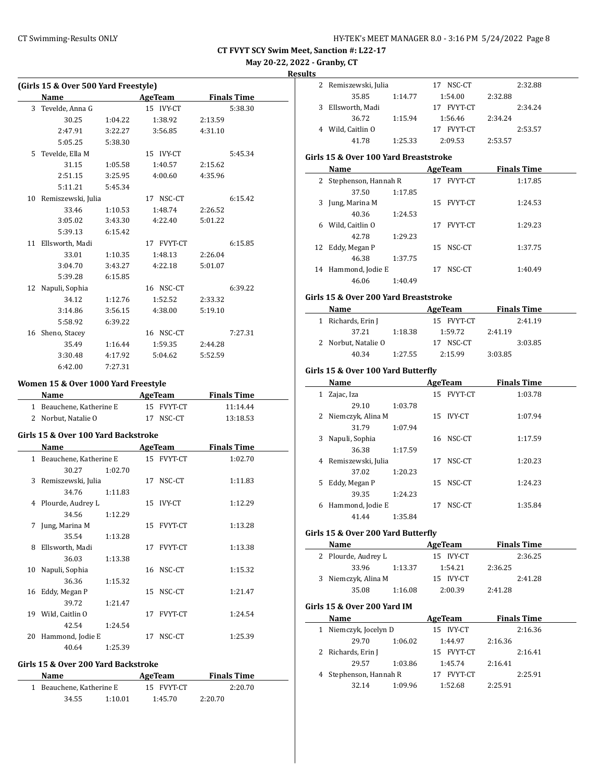**May 20-22, 2022 - Granby, CT**

**Results**

 $\overline{\phantom{0}}$ 

|    | (Girls 15 & Over 500 Yard Freestyle) |         |    |                |         |                    |  |
|----|--------------------------------------|---------|----|----------------|---------|--------------------|--|
|    | Name                                 |         |    | <b>AgeTeam</b> |         | <b>Finals Time</b> |  |
|    | 3 Tevelde, Anna G                    |         |    | 15 IVY-CT      |         | 5:38.30            |  |
|    | 30.25                                | 1:04.22 |    | 1:38.92        | 2:13.59 |                    |  |
|    | 2:47.91                              | 3:22.27 |    | 3:56.85        | 4:31.10 |                    |  |
|    | 5:05.25                              | 5:38.30 |    |                |         |                    |  |
|    | 5 Tevelde, Ella M                    |         |    | 15 IVY-CT      |         | 5:45.34            |  |
|    | 31.15                                | 1:05.58 |    | 1:40.57        | 2:15.62 |                    |  |
|    | 2:51.15                              | 3:25.95 |    | 4:00.60        | 4:35.96 |                    |  |
|    | 5:11.21                              | 5:45.34 |    |                |         |                    |  |
|    | 10 Remiszewski, Julia                |         |    | 17 NSC-CT      |         | 6:15.42            |  |
|    | 33.46                                | 1:10.53 |    | 1:48.74        | 2:26.52 |                    |  |
|    | 3:05.02                              | 3:43.30 |    | 4:22.40        | 5:01.22 |                    |  |
|    | 5:39.13                              | 6:15.42 |    |                |         |                    |  |
|    | 11 Ellsworth, Madi                   |         |    | 17 FVYT-CT     |         | 6:15.85            |  |
|    | 33.01                                | 1:10.35 |    | 1:48.13        | 2:26.04 |                    |  |
|    | 3:04.70                              | 3:43.27 |    | 4:22.18        | 5:01.07 |                    |  |
|    | 5:39.28                              | 6:15.85 |    |                |         |                    |  |
| 12 | Napuli, Sophia                       |         |    | 16 NSC-CT      |         | 6:39.22            |  |
|    | 34.12                                | 1:12.76 |    | 1:52.52        | 2:33.32 |                    |  |
|    | 3:14.86                              | 3:56.15 |    | 4:38.00        | 5:19.10 |                    |  |
|    | 5:58.92                              | 6:39.22 |    |                |         |                    |  |
|    | 16 Sheno, Stacey                     |         |    | 16 NSC-CT      |         | 7:27.31            |  |
|    | 35.49                                | 1:16.44 |    | 1:59.35        | 2:44.28 |                    |  |
|    | 3:30.48                              | 4:17.92 |    | 5:04.62        | 5:52.59 |                    |  |
|    | 6:42.00                              | 7:27.31 |    |                |         |                    |  |
|    |                                      |         |    |                |         |                    |  |
|    | Women 15 & Over 1000 Yard Freestyle  |         |    |                |         |                    |  |
|    | Name                                 |         |    | <b>AgeTeam</b> |         | <b>Finals Time</b> |  |
|    | 1 Beauchene, Katherine E             |         |    | 15 FVYT-CT     |         | 11:14.44           |  |
|    | 2 Norbut, Natalie O                  |         |    | 17 NSC-CT      |         | 13:18.53           |  |
|    | Girls 15 & Over 100 Yard Backstroke  |         |    |                |         |                    |  |
|    | <b>Name</b>                          |         |    | AgeTeam        |         | <b>Finals Time</b> |  |
|    | 1 Beauchene, Katherine E             |         |    | 15 FVYT-CT     |         | 1:02.70            |  |
|    | 30.27                                | 1:02.70 |    |                |         |                    |  |
|    | 3 Remiszewski, Julia                 |         |    | 17 NSC-CT      |         | 1:11.83            |  |
|    | 34.76                                | 1:11.83 |    |                |         |                    |  |
|    | 4 Plourde, Audrey L                  |         |    | 15 IVY-CT      |         | 1:12.29            |  |
|    | 34.56                                | 1:12.29 |    |                |         |                    |  |
| 7  | Jung, Marina M                       |         |    | 15 FVYT-CT     |         | 1:13.28            |  |
|    | 35.54                                | 1:13.28 |    |                |         |                    |  |
| 8  | Ellsworth, Madi                      |         | 17 | FVYT-CT        |         | 1:13.38            |  |
|    | 36.03                                | 1:13.38 |    |                |         |                    |  |
| 10 | Napuli, Sophia                       |         | 16 | NSC-CT         |         | 1:15.32            |  |
|    | 36.36                                | 1:15.32 |    |                |         |                    |  |
| 16 | Eddy, Megan P                        |         | 15 | NSC-CT         |         | 1:21.47            |  |
|    | 39.72                                | 1:21.47 |    |                |         |                    |  |
| 19 | Wild, Caitlin O                      |         | 17 | FVYT-CT        |         | 1:24.54            |  |
|    | 42.54                                | 1:24.54 |    |                |         |                    |  |
| 20 | Hammond, Jodie E                     |         | 17 | NSC-CT         |         | 1:25.39            |  |
|    | 40.64                                | 1:25.39 |    |                |         |                    |  |
|    |                                      |         |    |                |         |                    |  |

### **Girls 15 & Over 200 Yard Backstroke**

| Name |                          |         | AgeTeam    | <b>Finals Time</b> |  |
|------|--------------------------|---------|------------|--------------------|--|
|      | 1 Beauchene, Katherine E |         | 15 FVYT-CT | 2:20.70            |  |
|      | 34.55                    | 1:10.01 | 1:45.70    | 2:20.70            |  |

| LЭ |                      |         |               |         |         |
|----|----------------------|---------|---------------|---------|---------|
|    | 2 Remiszewski, Julia |         | NSC-CT<br>17  |         | 2:32.88 |
|    | 35.85                | 1:14.77 | 1:54.00       | 2:32.88 |         |
| 3. | Ellsworth, Madi      |         | FVYT-CT<br>17 |         | 2:34.24 |
|    | 36.72                | 1:15.94 | 1:56.46       | 2:34.24 |         |
|    | Wild, Caitlin O      |         | 17 FVYT-CT    |         | 2:53.57 |
|    | 41.78                | 1:25.33 | 2:09.53       | 2:53.57 |         |
|    |                      |         |               |         |         |

# **Girls 15 & Over 100 Yard Breaststroke**

|   | Name                   |         |    | AgeTeam        | <b>Finals Time</b> |  |
|---|------------------------|---------|----|----------------|--------------------|--|
|   | 2 Stephenson, Hannah R |         | 17 | <b>FVYT-CT</b> | 1:17.85            |  |
|   | 37.50                  | 1:17.85 |    |                |                    |  |
|   | 3 Jung, Marina M       |         |    | 15 FVYT-CT     | 1:24.53            |  |
|   | 40.36                  | 1:24.53 |    |                |                    |  |
| 6 | Wild, Caitlin O        |         | 17 | <b>FVYT-CT</b> | 1:29.23            |  |
|   | 42.78                  | 1:29.23 |    |                |                    |  |
|   | 12 Eddy, Megan P       |         | 15 | NSC-CT         | 1:37.75            |  |
|   | 46.38                  | 1:37.75 |    |                |                    |  |
|   | 14 Hammond, Jodie E    |         | 17 | NSC-CT         | 1:40.49            |  |
|   | 46.06                  | 1:40.49 |    |                |                    |  |

#### **Girls 15 & Over 200 Yard Breaststroke**

| Name |                     | AgeTeam | <b>Finals Time</b> |         |  |
|------|---------------------|---------|--------------------|---------|--|
|      | 1 Richards, Erin J  |         | 15 FVYT-CT         | 2:41.19 |  |
|      | 37.21               | 1:18.38 | 1:59.72            | 2:41.19 |  |
|      | 2 Norbut, Natalie O |         | 17 NSC-CT          | 3:03.85 |  |
|      | 40.34               | 1:27.55 | 2:15.99            | 3:03.85 |  |

# **Girls 15 & Over 100 Yard Butterfly**

# **Girls 15 & Over 200 Yard Butterfly**

| Name |                     |         | AgeTeam   | <b>Finals Time</b> |         |  |
|------|---------------------|---------|-----------|--------------------|---------|--|
|      | 2 Plourde, Audrey L |         | 15 IVY-CT |                    | 2:36.25 |  |
|      | 33.96               | 1:13.37 | 1:54.21   | 2:36.25            |         |  |
|      | 3 Niemczyk, Alina M |         | 15 IVY-CT |                    | 2:41.28 |  |
|      | 35.08               | 1:16.08 | 2:00.39   | 2:41.28            |         |  |

#### **Girls 15 & Over 200 Yard IM**

| Name                   |         | AgeTeam        | <b>Finals Time</b> |
|------------------------|---------|----------------|--------------------|
| 1 Niemczyk, Jocelyn D  |         | 15 IVY-CT      | 2:16.36            |
| 29.70                  | 1:06.02 | 1:44.97        | 2:16.36            |
| 2 Richards, Erin J     |         | 15 FVYT-CT     | 2:16.41            |
| 29.57                  | 1:03.86 | 1:45.74        | 2:16.41            |
| 4 Stephenson, Hannah R |         | <b>FVYT-CT</b> | 2:25.91            |
| 32.14                  | 1:09.96 | 1:52.68        | 2:25.91            |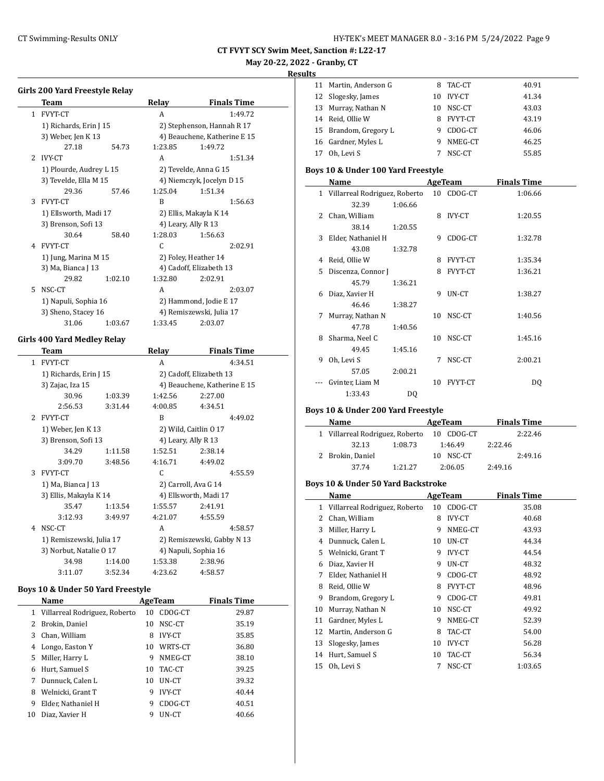# **May 20-22, 2022 - Granby, CT**

### **Results**

|              | Girls 200 Yard Freestyle Relay |         |         |                              | 11<br>Ma            |
|--------------|--------------------------------|---------|---------|------------------------------|---------------------|
|              | <b>Team</b>                    |         | Relay   | <b>Finals Time</b>           | Slo<br>12           |
| $\mathbf{1}$ | <b>FVYT-CT</b>                 |         | A       | 1:49.72                      | 13<br>Mu            |
|              |                                |         |         |                              | Rei<br>14           |
|              | 1) Richards, Erin J 15         |         |         | 2) Stephenson, Hannah R 17   | 15<br>Bra           |
|              | 3) Weber, Jen K 13             |         |         | 4) Beauchene, Katherine E 15 | 16<br>Ga            |
|              | 27.18                          | 54.73   | 1:23.85 | 1:49.72                      | 0h<br>17            |
| 2            | <b>IVY-CT</b>                  |         | A       | 1:51.34                      |                     |
|              | 1) Plourde, Audrey L 15        |         |         | 2) Tevelde, Anna G 15        | Boys $100$          |
|              | 3) Tevelde, Ella M 15          |         |         | 4) Niemczyk, Jocelyn D 15    | Na                  |
|              | 29.36                          | 57.46   | 1:25.04 | 1:51.34                      | Vil<br>$\mathbf{1}$ |
| 3            | <b>FVYT-CT</b>                 |         | R       | 1:56.63                      |                     |
|              | 1) Ellsworth, Madi 17          |         |         | 2) Ellis, Makayla K 14       | Ch<br>2             |
|              | 3) Brenson, Sofi 13            |         |         | 4) Leary, Ally R 13          |                     |
|              | 30.64                          | 58.40   | 1:28.03 | 1:56.63                      | Eld<br>3            |
| 4            | <b>FVYT-CT</b>                 |         | C       | 2:02.91                      |                     |
|              | 1) Jung, Marina M 15           |         |         | 2) Foley, Heather 14         | Rei<br>4            |
|              | 3) Ma, Bianca J 13             |         |         | 4) Cadoff, Elizabeth 13      | 5.<br>Dis           |
|              | 29.82                          | 1:02.10 | 1:32.80 | 2:02.91                      |                     |
| 5            | NSC-CT                         |         | A       | 2:03.07                      | Dia<br>6            |
|              | 1) Napuli, Sophia 16           |         |         | 2) Hammond, Jodie E 17       |                     |
|              | 3) Sheno, Stacey 16            |         |         | 4) Remiszewski, Julia 17     | 7<br>Mu             |
|              | 31.06                          | 1:03.67 | 1:33.45 | 2:03.07                      |                     |

### **Girls 400 Yard Medley Relay**

|               | Team                     |         | Relay                 | <b>Finals Time</b>           |  |
|---------------|--------------------------|---------|-----------------------|------------------------------|--|
| $\mathbf{1}$  | <b>FVYT-CT</b>           |         | A                     | 4:34.51                      |  |
|               | 1) Richards, Erin J 15   |         |                       | 2) Cadoff, Elizabeth 13      |  |
|               | 3) Zajac, Iza 15         |         |                       | 4) Beauchene, Katherine E 15 |  |
|               | 30.96                    | 1:03.39 | 1:42.56               | 2:27.00                      |  |
|               | 2:56.53                  | 3:31.44 | 4:00.85               | 4:34.51                      |  |
| $\mathcal{L}$ | <b>FVYT-CT</b>           |         | B                     | 4:49.02                      |  |
|               | 1) Weber, Jen K 13       |         |                       | 2) Wild, Caitlin 0 17        |  |
|               | 3) Brenson, Sofi 13      |         | 4) Leary, Ally R 13   |                              |  |
|               | 34.29                    | 1:11.58 | 1:52.51               | 2:38.14                      |  |
|               | 3:09.70                  | 3:48.56 | 4:16.71               | 4:49.02                      |  |
| 3             | <b>FVYT-CT</b>           |         | C                     | 4:55.59                      |  |
|               | 1) Ma, Bianca J 13       |         |                       | 2) Carroll, Ava G 14         |  |
|               | 3) Ellis, Makayla K 14   |         | 4) Ellsworth, Madi 17 |                              |  |
|               | 35.47                    | 1:13.54 | 1:55.57               | 2:41.91                      |  |
|               | 3:12.93                  | 3:49.97 | 4:21.07               | 4:55.59                      |  |
| 4             | NSC-CT                   |         | A                     | 4:58.57                      |  |
|               | 1) Remiszewski, Julia 17 |         |                       | 2) Remiszewski, Gabby N 13   |  |
|               | 3) Norbut, Natalie 0 17  |         |                       | 4) Napuli, Sophia 16         |  |
|               | 34.98                    | 1:14.00 | 1:53.38               | 2:38.96                      |  |
|               | 3:11.07                  | 3:52.34 | 4:23.62               | 4:58.57                      |  |

### **Boys 10 & Under 50 Yard Freestyle**

|    | Name                            |    | AgeTeam       | <b>Finals Time</b> |
|----|---------------------------------|----|---------------|--------------------|
|    | 1 Villarreal Rodriguez, Roberto | 10 | CDOG-CT       | 29.87              |
| 2  | Brokin, Daniel                  | 10 | NSC-CT        | 35.19              |
| 3  | Chan, William                   | 8  | <b>IVY-CT</b> | 35.85              |
| 4  | Longo, Easton Y                 | 10 | WRTS-CT       | 36.80              |
| 5  | Miller, Harry L                 | 9  | NMEG-CT       | 38.10              |
| 6  | Hurt, Samuel S                  | 10 | TAC-CT        | 39.25              |
| 7  | Dunnuck, Calen L                | 10 | UN-CT         | 39.32              |
| 8  | Welnicki, Grant T               | 9  | <b>IVY-CT</b> | 40.44              |
| 9  | Elder, Nathaniel H              | 9  | CDOG-CT       | 40.51              |
| 10 | Diaz, Xavier H                  |    | UN-CT         | 40.66              |

| 11 Martin, Anderson G | 8   | TAC-CT         | 40.91 |
|-----------------------|-----|----------------|-------|
| 12 Slogesky, James    | 10  | IVY-CT         | 41.34 |
| 13 Murray, Nathan N   | 10. | NSC-CT         | 43.03 |
| 14 Reid. Ollie W      | 8   | <b>FVYT-CT</b> | 43.19 |
| 15 Brandom, Gregory L | 9   | CDOG-CT        | 46.06 |
| 16 Gardner, Myles L   | 9   | NMEG-CT        | 46.25 |
| Oh, Levi S            |     | NSC-CT         | 55.85 |

### **Boys 10 & Under 100 Yard Freestyle**

|    | Name                            |         |    | <b>AgeTeam</b> | <b>Finals Time</b> |
|----|---------------------------------|---------|----|----------------|--------------------|
|    | 1 Villarreal Rodriguez, Roberto |         |    | 10 CDOG-CT     | 1:06.66            |
|    | 32.39                           | 1:06.66 |    |                |                    |
| 2  | Chan, William                   |         | 8  | IVY-CT         | 1:20.55            |
|    | 38.14                           | 1:20.55 |    |                |                    |
| 3  | Elder, Nathaniel H              |         | 9  | CDOG-CT        | 1:32.78            |
|    | 43.08                           | 1:32.78 |    |                |                    |
| 4  | Reid, Ollie W                   |         | 8  | <b>FVYT-CT</b> | 1:35.34            |
| 5. | Discenza, Connor J              |         | 8  | <b>FVYT-CT</b> | 1:36.21            |
|    | 45.79                           | 1:36.21 |    |                |                    |
| 6  | Diaz, Xavier H                  |         | 9  | UN-CT          | 1:38.27            |
|    | 46.46                           | 1:38.27 |    |                |                    |
| 7  | Murray, Nathan N                |         | 10 | NSC-CT         | 1:40.56            |
|    | 47.78                           | 1:40.56 |    |                |                    |
| 8  | Sharma, Neel C                  |         | 10 | NSC-CT         | 1:45.16            |
|    | 49.45                           | 1:45.16 |    |                |                    |
| 9  | Oh, Levi S                      |         | 7  | NSC-CT         | 2:00.21            |
|    | 57.05                           | 2:00.21 |    |                |                    |
|    | Gvinter, Liam M                 |         | 10 | FVYT-CT        | DQ                 |
|    | 1:33.43                         | DO.     |    |                |                    |

### **Boys 10 & Under 200 Yard Freestyle**

| Name                            |         | AgeTeam       |         | <b>Finals Time</b> |
|---------------------------------|---------|---------------|---------|--------------------|
| 1 Villarreal Rodriguez, Roberto |         | 10 CDOG-CT    |         | 2:22.46            |
| 32.13                           | 1:08.73 | 1:46.49       | 2:22.46 |                    |
| 2 Brokin, Daniel                |         | NSC-CT<br>10. |         | 2:49.16            |
| 37.74                           | 1.2127  | 2:06.05       | 2:49.16 |                    |

# **Boys 10 & Under 50 Yard Backstroke**

| Name |                               |    | AgeTeam       | <b>Finals Time</b> |
|------|-------------------------------|----|---------------|--------------------|
| 1    | Villarreal Rodriguez, Roberto | 10 | CDOG-CT       | 35.08              |
| 2    | Chan, William                 | 8  | <b>IVY-CT</b> | 40.68              |
| 3    | Miller, Harry L               | 9  | NMEG-CT       | 43.93              |
| 4    | Dunnuck, Calen L              | 10 | UN-CT         | 44.34              |
| 5    | Welnicki, Grant T             | 9  | <b>IVY-CT</b> | 44.54              |
| 6    | Diaz, Xavier H                | 9  | UN-CT         | 48.32              |
| 7    | Elder, Nathaniel H            | 9  | CDOG-CT       | 48.92              |
| 8    | Reid, Ollie W                 | 8  | FVYT-CT       | 48.96              |
| 9    | Brandom, Gregory L            | 9  | CDOG-CT       | 49.81              |
| 10   | Murray, Nathan N              | 10 | NSC-CT        | 49.92              |
| 11   | Gardner, Myles L              | 9  | NMEG-CT       | 52.39              |
| 12   | Martin, Anderson G            | 8  | TAC-CT        | 54.00              |
| 13   | Slogesky, James               | 10 | <b>IVY-CT</b> | 56.28              |
| 14   | Hurt, Samuel S                | 10 | TAC-CT        | 56.34              |
| 15   | Oh, Levi S                    | 7  | NSC-CT        | 1:03.65            |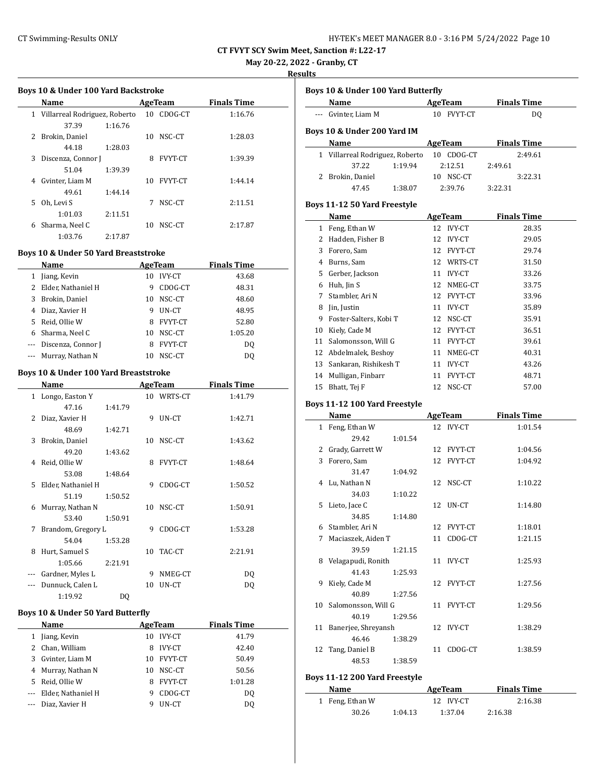| HY-TEK's MEET MANAGER 8.0 - 3:16 PM 5/24/2022 Page 10 |  |  |
|-------------------------------------------------------|--|--|
|-------------------------------------------------------|--|--|

# **May 20-22, 2022 - Granby, CT**

**Results**

|          | Boys 10 & Under 100 Yard Backstroke                                                                                                                                                                                            |    |            |                                      |  |
|----------|--------------------------------------------------------------------------------------------------------------------------------------------------------------------------------------------------------------------------------|----|------------|--------------------------------------|--|
|          | <b>Example 2 AgeTeam</b> Finals Time<br>Name                                                                                                                                                                                   |    |            |                                      |  |
|          | 1 Villarreal Rodriguez, Roberto                                                                                                                                                                                                |    | 10 CDOG-CT | 1:16.76                              |  |
|          | 37.39<br>1:16.76                                                                                                                                                                                                               |    |            |                                      |  |
|          | 2 Brokin, Daniel                                                                                                                                                                                                               |    | 10 NSC-CT  | 1:28.03                              |  |
|          | 44.18<br>1:28.03                                                                                                                                                                                                               |    |            |                                      |  |
|          | 3 Discenza, Connor J                                                                                                                                                                                                           |    | 8 FVYT-CT  | 1:39.39                              |  |
|          | 51.04<br>1:39.39                                                                                                                                                                                                               |    |            |                                      |  |
|          | 4 Gvinter, Liam M                                                                                                                                                                                                              |    | 10 FVYT-CT | 1:44.14                              |  |
|          | 49.61<br>1:44.14                                                                                                                                                                                                               |    |            |                                      |  |
|          | 5 Oh, Levi S                                                                                                                                                                                                                   |    | 7 NSC-CT   | 2:11.51                              |  |
|          | 1:01.03<br>2:11.51                                                                                                                                                                                                             |    |            |                                      |  |
|          | 6 Sharma, Neel C                                                                                                                                                                                                               |    | 10 NSC-CT  | 2:17.87                              |  |
|          | 1:03.76<br>2:17.87                                                                                                                                                                                                             |    |            |                                      |  |
|          |                                                                                                                                                                                                                                |    |            |                                      |  |
|          | Boys 10 & Under 50 Yard Breaststroke                                                                                                                                                                                           |    |            |                                      |  |
|          | Name                                                                                                                                                                                                                           |    |            | <b>Example 2 AgeTeam</b> Finals Time |  |
|          | 1 Jiang, Kevin                                                                                                                                                                                                                 |    | 10 IVY-CT  | 43.68                                |  |
|          | 2 Elder, Nathaniel H                                                                                                                                                                                                           |    | 9 CDOG-CT  | 48.31                                |  |
|          | 3 Brokin, Daniel                                                                                                                                                                                                               |    | 10 NSC-CT  | 48.60                                |  |
|          | 4 Diaz, Xavier H                                                                                                                                                                                                               |    | 9 UN-CT    | 48.95                                |  |
|          | 5 Reid, Ollie W                                                                                                                                                                                                                |    | 8 FVYT-CT  | 52.80                                |  |
|          | 6 Sharma, Neel C                                                                                                                                                                                                               |    | 10 NSC-CT  | 1:05.20                              |  |
|          | --- Discenza, Connor J                                                                                                                                                                                                         |    | 8 FVYT-CT  | DQ                                   |  |
|          | --- Murray, Nathan N                                                                                                                                                                                                           |    | 10 NSC-CT  | DQ                                   |  |
|          | Boys 10 & Under 100 Yard Breaststroke                                                                                                                                                                                          |    |            |                                      |  |
|          | Name and the state of the state of the state of the state of the state of the state of the state of the state of the state of the state of the state of the state of the state of the state of the state of the state of the s |    |            | AgeTeam Finals Time                  |  |
|          | 1 Longo, Easton Y                                                                                                                                                                                                              |    | 10 WRTS-CT | 1:41.79                              |  |
|          | 47.16<br>1:41.79                                                                                                                                                                                                               |    |            |                                      |  |
|          | 2 Diaz, Xavier H                                                                                                                                                                                                               |    | 9 UN-CT    | 1:42.71                              |  |
|          | 48.69<br>1:42.71                                                                                                                                                                                                               |    |            |                                      |  |
|          | 3 Brokin, Daniel                                                                                                                                                                                                               |    | 10 NSC-CT  | 1:43.62                              |  |
|          | 49.20<br>1:43.62                                                                                                                                                                                                               |    |            |                                      |  |
|          | 4 Reid, Ollie W                                                                                                                                                                                                                |    | 8 FVYT-CT  | 1:48.64                              |  |
|          | 53.08<br>1:48.64                                                                                                                                                                                                               |    |            |                                      |  |
|          | 5 Elder, Nathaniel H                                                                                                                                                                                                           |    | 9 CDOG-CT  | 1:50.52                              |  |
|          | 51.19<br>1:50.52                                                                                                                                                                                                               |    |            |                                      |  |
|          | 6 Murray, Nathan N                                                                                                                                                                                                             |    | 10 NSC-CT  | 1:50.91                              |  |
|          | 53.40<br>1:50.91                                                                                                                                                                                                               |    |            |                                      |  |
| 7        | Brandom, Gregory L                                                                                                                                                                                                             |    | 9 CDOG-CT  | 1:53.28                              |  |
|          | 54.04<br>1:53.28                                                                                                                                                                                                               |    |            |                                      |  |
| 8        | Hurt, Samuel S                                                                                                                                                                                                                 |    | 10 TAC-CT  | 2:21.91                              |  |
|          | 1:05.66<br>2:21.91                                                                                                                                                                                                             |    |            |                                      |  |
| $\cdots$ | Gardner, Myles L                                                                                                                                                                                                               |    | 9 NMEG-CT  | DQ                                   |  |
| ---      | Dunnuck, Calen L                                                                                                                                                                                                               | 10 | UN-CT      | <b>DQ</b>                            |  |
|          | 1:19.92<br>DQ                                                                                                                                                                                                                  |    |            |                                      |  |
|          |                                                                                                                                                                                                                                |    |            |                                      |  |
|          | Boys 10 & Under 50 Yard Butterfly                                                                                                                                                                                              |    |            |                                      |  |
|          | <b>Name</b>                                                                                                                                                                                                                    |    | AgeTeam    | <b>Finals Time</b>                   |  |
|          | 1 Jiang, Kevin                                                                                                                                                                                                                 |    | 10 IVY-CT  | 41.79                                |  |
|          | 2 Chan, William                                                                                                                                                                                                                |    | 8 IVY-CT   | 42.40                                |  |
|          | 3 Gvinter, Liam M                                                                                                                                                                                                              | 10 | FVYT-CT    | 50.49                                |  |
|          | 4 Murray, Nathan N                                                                                                                                                                                                             |    | 10 NSC-CT  | 50.56                                |  |
|          |                                                                                                                                                                                                                                |    |            |                                      |  |

--- Elder, Nathaniel H 9 CDOG-CT DQ --- Diaz, Xavier H 9 UN-CT DQ

|    | Boys 10 & Under 100 Yard Butterfly<br>Name        |    | AgeTeam        |         | <b>Finals Time</b> |
|----|---------------------------------------------------|----|----------------|---------|--------------------|
|    | Gvinter, Liam M                                   |    | 10 FVYT-CT     |         | DQ                 |
|    |                                                   |    |                |         |                    |
|    | Boys 10 & Under 200 Yard IM<br>Name               |    | <b>AgeTeam</b> |         | <b>Finals Time</b> |
|    | 1 Villarreal Rodriguez, Roberto                   |    | 10 CDOG-CT     |         | 2:49.61            |
|    | 37.22<br>1:19.94                                  |    | 2:12.51        | 2:49.61 |                    |
|    | 2 Brokin, Daniel                                  |    | 10 NSC-CT      |         | 3:22.31            |
|    | 47.45<br>1:38.07                                  |    | 2:39.76        | 3:22.31 |                    |
|    |                                                   |    |                |         |                    |
|    | Boys 11-12 50 Yard Freestyle<br>Name              |    | AgeTeam        |         | <b>Finals Time</b> |
|    | 1 Feng, Ethan W                                   |    | 12 IVY-CT      |         | 28.35              |
|    | 2 Hadden, Fisher B                                |    | 12 IVY-CT      |         |                    |
|    |                                                   |    |                |         | 29.05              |
|    | 3 Forero, Sam                                     |    | 12 FVYT-CT     |         | 29.74              |
|    | 4 Burns, Sam                                      |    | 12 WRTS-CT     |         | 31.50              |
|    | 5 Gerber, Jackson                                 |    | 11 IVY-CT      |         | 33.26              |
|    | 6 Huh, Jin S                                      |    | 12 NMEG-CT     |         | 33.75              |
| 7  | Stambler, Ari N                                   |    | 12 FVYT-CT     |         | 33.96              |
| 8  | Jin, Justin                                       |    | 11 IVY-CT      |         | 35.89              |
| 9  | Foster-Salters, Kobi T                            |    | 12 NSC-CT      |         | 35.91              |
| 10 | Kiely, Cade M                                     |    | 12 FVYT-CT     |         | 36.51              |
| 11 | Salomonsson, Will G                               |    | 11 FVYT-CT     |         | 39.61              |
| 12 | Abdelmalek, Beshoy                                |    | 11 NMEG-CT     |         | 40.31              |
| 13 | Sankaran, Rishikesh T                             |    | 11 IVY-CT      |         | 43.26              |
| 14 | Mulligan, Finbarr                                 |    | 11 FVYT-CT     |         | 48.71              |
| 15 | Bhatt, Tej F                                      | 12 | NSC-CT         |         | 57.00              |
|    | Boys 11-12 100 Yard Freestyle                     |    |                |         |                    |
|    | Name                                              |    | AgeTeam        |         | <b>Finals Time</b> |
|    | 1 Feng, Ethan W                                   | 12 | <b>IVY-CT</b>  |         | 1:01.54            |
|    | 29.42<br>1:01.54                                  |    |                |         |                    |
| 2  | Grady, Garrett W                                  | 12 | FVYT-CT        |         | 1:04.56            |
| 3  | Forero, Sam                                       | 12 | FVYT-CT        |         | 1:04.92            |
|    | 31.47<br>1:04.92                                  |    |                |         |                    |
|    | 4 Lu, Nathan N                                    | 12 | NSC-CT         |         | 1:10.22            |
|    | 34.03<br>1:10.22                                  |    |                |         |                    |
| 5  | Lieto, Jace C                                     | 12 | UN-CT          |         | 1:14.80            |
|    | 34.85<br>1:14.80                                  |    |                |         |                    |
|    | 6 Stambler, Ari N                                 |    | 12 FVYT-CT     |         | 1:18.01            |
|    | 7 Maciaszek, Aiden T                              |    | 11 CDOG-CT     |         | 1:21.15            |
|    | 39.59<br>1:21.15                                  |    |                |         |                    |
| 8  | Velagapudi, Ronith                                |    | 11 IVY-CT      |         | 1:25.93            |
|    | 41.43<br>1:25.93                                  |    |                |         |                    |
| 9  | Kiely, Cade M                                     |    | 12 FVYT-CT     |         | 1:27.56            |
|    | 40.89<br>1:27.56                                  |    |                |         |                    |
| 10 | Salomonsson, Will G                               |    | 11 FVYT-CT     |         | 1:29.56            |
|    | 1:29.56                                           |    |                |         |                    |
|    | 40.19<br>Banerjee, Shreyansh                      |    |                |         |                    |
| 11 |                                                   |    | 12 IVY-CT      |         | 1:38.29            |
|    | 46.46<br>1:38.29                                  |    |                |         |                    |
| 12 | Tang, Daniel B                                    | 11 | CDOG-CT        |         | 1:38.59            |
|    |                                                   |    |                |         |                    |
|    | 48.53<br>1:38.59<br>Boys 11-12 200 Yard Freestyle |    |                |         |                    |

| Name            |         | AgeTeam   | <b>Finals Time</b> |  |
|-----------------|---------|-----------|--------------------|--|
| 1 Feng, Ethan W |         | 12 IVY-CT | 2:16.38            |  |
| 30.26           | 1:04.13 | 1:37.04   | 2:16.38            |  |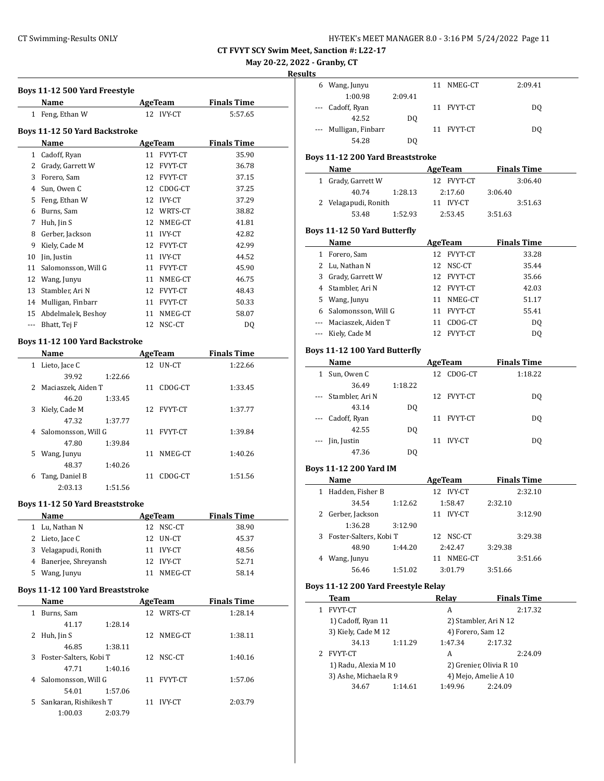**May 20-22, 2022 - Granby, CT**

#### **Results**

|    | Boys 11-12 500 Yard Freestyle<br>Name                   | AgeTeam               | <b>Finals Time</b> |  |
|----|---------------------------------------------------------|-----------------------|--------------------|--|
|    | 1 Feng, Ethan W                                         | 12 IVY-CT             | 5:57.65            |  |
|    |                                                         |                       |                    |  |
|    | <b>Boys 11-12 50 Yard Backstroke</b>                    |                       |                    |  |
|    | Name                                                    | <b>AgeTeam</b>        | <b>Finals Time</b> |  |
|    | 1 Cadoff, Ryan                                          | 11 FVYT-CT            | 35.90              |  |
|    | 2 Grady, Garrett W                                      | 12 FVYT-CT            | 36.78              |  |
|    | 3 Forero, Sam                                           | 12 FVYT-CT            | 37.15              |  |
|    | 4 Sun, Owen C                                           | 12 CDOG-CT            | 37.25              |  |
|    | 5 Feng, Ethan W                                         | 12 IVY-CT             | 37.29              |  |
|    | 6 Burns, Sam                                            | 12 WRTS-CT            | 38.82              |  |
|    | 7 Huh, Jin S                                            | 12 NMEG-CT            | 41.81              |  |
|    | 8 Gerber, Jackson                                       | 11 IVY-CT             | 42.82              |  |
|    | 9 Kiely, Cade M                                         | 12 FVYT-CT            | 42.99              |  |
|    | 10 Jin, Justin                                          | 11 IVY-CT             | 44.52              |  |
| 11 | Salomonsson, Will G                                     | 11 FVYT-CT            | 45.90              |  |
|    | 12 Wang, Junyu                                          | 11 NMEG-CT            | 46.75              |  |
|    | 13 Stambler, Ari N                                      | 12 FVYT-CT            | 48.43              |  |
|    | 14 Mulligan, Finbarr                                    | 11 FVYT-CT            | 50.33              |  |
|    | 15 Abdelmalek, Beshov                                   | 11 NMEG-CT            | 58.07              |  |
|    | --- Bhatt, Tej F                                        | 12 NSC-CT             | DQ                 |  |
|    |                                                         |                       |                    |  |
|    | Boys 11-12 100 Yard Backstroke                          |                       |                    |  |
|    | Name                                                    | AgeTeam               | <b>Finals Time</b> |  |
|    | 1 Lieto, Jace C                                         | 12 UN-CT              | 1:22.66            |  |
|    | 39.92<br>1:22.66                                        |                       |                    |  |
|    | 2 Maciaszek, Aiden T                                    | 11 CDOG-CT            | 1:33.45            |  |
|    | 46.20<br>1:33.45                                        |                       |                    |  |
| 3  | Kiely, Cade M                                           | 12 FVYT-CT            | 1:37.77            |  |
|    | 47.32<br>1:37.77                                        |                       |                    |  |
|    | 4 Salomonsson, Will G<br>47.80                          | 11 FVYT-CT            | 1:39.84            |  |
|    | 1:39.84                                                 |                       | 1:40.26            |  |
|    | 5 Wang, Junyu                                           | 11 NMEG-CT            |                    |  |
|    | 48.37<br>1:40.26<br>Tang, Daniel B                      |                       |                    |  |
| 6  |                                                         | 11 CDOG-CT            | 1:51.56            |  |
|    | 2:03.13<br>1:51.56                                      |                       |                    |  |
|    | <b>Boys 11-12 50 Yard Breaststroke</b>                  |                       |                    |  |
|    | <u>Name</u>                                             | <b>AgeTeam</b>        | <b>Finals Time</b> |  |
|    | 1 Lu, Nathan N                                          | 12 NSC-CT             | 38.90              |  |
|    | 2 Lieto, Jace C                                         | 12 UN-CT              | 45.37              |  |
|    | 3 Velagapudi, Ronith                                    | 11 IVY-CT             | 48.56              |  |
|    | 4 Banerjee, Shreyansh                                   | 12 IVY-CT             | 52.71              |  |
|    | 5 Wang, Junyu                                           | 11 NMEG-CT            | 58.14              |  |
|    |                                                         |                       |                    |  |
|    | Boys 11-12 100 Yard Breaststroke                        |                       |                    |  |
|    | Name<br><u>and a state of the state</u><br>1 Burns, Sam | AgeTeam<br>12 WRTS-CT | <b>Finals Time</b> |  |
|    |                                                         |                       | 1:28.14            |  |
|    | 41.17<br>1:28.14                                        |                       |                    |  |
|    | 2 Huh, Jin S                                            | 12 NMEG-CT            | 1:38.11            |  |
|    | 46.85<br>1:38.11                                        |                       |                    |  |
| 3  | Foster-Salters, Kobi T                                  | 12 NSC-CT             | 1:40.16            |  |
|    | 47.71<br>1:40.16                                        |                       |                    |  |
|    | 4 Salomonsson, Will G                                   | 11 FVYT-CT            | 1:57.06            |  |
|    | 54.01<br>1:57.06                                        |                       |                    |  |
| 5  | Sankaran, Rishikesh T                                   | 11 IVY-CT             | 2:03.79            |  |
|    | 1:00.03<br>2:03.79                                      |                       |                    |  |

|     | 6 Wang, Junyu                       |         | 11 | NMEG-CT                 |         | 2:09.41            |  |
|-----|-------------------------------------|---------|----|-------------------------|---------|--------------------|--|
|     | 1:00.98                             | 2:09.41 |    |                         |         |                    |  |
| --- | Cadoff, Ryan                        |         |    | 11 FVYT-CT              |         | DQ                 |  |
|     | 42.52                               | DQ      |    |                         |         |                    |  |
|     | Mulligan, Finbarr                   |         |    | 11 FVYT-CT              |         |                    |  |
|     |                                     |         |    |                         |         | DQ                 |  |
|     | 54.28                               | DQ      |    |                         |         |                    |  |
|     | Boys 11-12 200 Yard Breaststroke    |         |    |                         |         |                    |  |
|     | Name                                |         |    | AgeTeam                 |         | <b>Finals Time</b> |  |
|     |                                     |         |    | 12 FVYT-CT              |         | 3:06.40            |  |
|     | 1 Grady, Garrett W                  |         |    |                         |         |                    |  |
|     | 40.74                               | 1:28.13 |    | 2:17.60                 | 3:06.40 |                    |  |
|     | 2 Velagapudi, Ronith                |         |    | 11 IVY-CT               |         | 3:51.63            |  |
|     | 53.48                               | 1:52.93 |    | 2:53.45                 | 3:51.63 |                    |  |
|     | Boys 11-12 50 Yard Butterfly        |         |    |                         |         |                    |  |
|     |                                     |         |    |                         |         |                    |  |
|     | Name                                |         |    | <b>AgeTeam</b>          |         | <b>Finals Time</b> |  |
|     | 1 Forero, Sam                       |         |    | 12 FVYT-CT              |         | 33.28              |  |
|     | 2 Lu, Nathan N                      |         |    | 12 NSC-CT               |         | 35.44              |  |
|     | 3 Grady, Garrett W                  |         |    | 12 FVYT-CT              |         | 35.66              |  |
|     | 4 Stambler, Ari N                   |         |    | 12 FVYT-CT              |         | 42.03              |  |
|     | 5 Wang, Junyu                       |         |    | 11 NMEG-CT              |         | 51.17              |  |
|     | 6 Salomonsson, Will G               |         |    | 11 FVYT-CT              |         | 55.41              |  |
|     | --- Maciaszek, Aiden T              |         |    | 11 CDOG-CT              |         | <b>DQ</b>          |  |
|     | --- Kiely, Cade M                   |         |    | 12 FVYT-CT              |         | <b>DQ</b>          |  |
|     |                                     |         |    |                         |         |                    |  |
|     | Boys 11-12 100 Yard Butterfly       |         |    |                         |         |                    |  |
|     | Name                                |         |    | <b>AgeTeam</b>          |         | <b>Finals Time</b> |  |
|     | 1 Sun, Owen C                       |         |    | 12 CDOG-CT              |         | 1:18.22            |  |
|     | 36.49                               | 1:18.22 |    |                         |         |                    |  |
|     |                                     |         |    |                         |         |                    |  |
| --- | Stambler, Ari N                     |         |    | 12 FVYT-CT              |         | DQ                 |  |
|     | 43.14                               | DQ      |    |                         |         |                    |  |
|     | Cadoff, Ryan                        |         |    | 11 FVYT-CT              |         | DQ                 |  |
|     | 42.55                               | DQ      |    |                         |         |                    |  |
|     | Jin, Justin                         |         |    | 11 IVY-CT               |         | DQ                 |  |
|     | 47.36                               | DQ      |    |                         |         |                    |  |
|     |                                     |         |    |                         |         |                    |  |
|     | Boys 11-12 200 Yard IM              |         |    |                         |         |                    |  |
|     | Name                                |         |    | <b>AgeTeam</b>          |         | <b>Finals Time</b> |  |
|     | 1 Hadden, Fisher B                  |         |    | 12 IVY-CT               |         | 2:32.10            |  |
|     | 34.54                               | 1:12.62 |    | 1:58.47                 | 2:32.10 |                    |  |
|     | 2 Gerber, Jackson                   |         |    | 11 IVY-CT               |         | 3:12.90            |  |
|     | 1:36.28                             | 3:12.90 |    |                         |         |                    |  |
| 3   | Foster-Salters, Kobi T              |         |    | 12 NSC-CT               |         | 3:29.38            |  |
|     | 48.90                               | 1:44.20 |    | 2:42.47                 | 3:29.38 |                    |  |
|     | 4 Wang, Junyu                       |         |    | 11 NMEG-CT              |         | 3:51.66            |  |
|     | 56.46                               | 1:51.02 |    | 3:01.79                 | 3:51.66 |                    |  |
|     |                                     |         |    |                         |         |                    |  |
|     | Boys 11-12 200 Yard Freestyle Relay |         |    |                         |         |                    |  |
|     | Team                                |         |    | <b>Relay</b>            |         | <b>Finals Time</b> |  |
|     | 1 FVYT-CT                           |         |    | A                       |         | 2:17.32            |  |
|     | 1) Cadoff, Ryan 11                  |         |    | 2) Stambler, Ari N 12   |         |                    |  |
|     | 3) Kiely, Cade M 12                 |         |    | 4) Forero, Sam 12       |         |                    |  |
|     |                                     |         |    |                         |         |                    |  |
|     | 34.13                               | 1:11.29 |    | 1:47.34                 | 2:17.32 |                    |  |
| 2   | FVYT-CT                             |         |    | A                       |         | 2:24.09            |  |
|     | 1) Radu, Alexia M 10                |         |    | 2) Grenier, Olivia R 10 |         |                    |  |
|     | 3) Ashe, Michaela R 9               |         |    | 4) Mejo, Amelie A 10    |         |                    |  |
|     | 34.67                               | 1:14.61 |    | 1:49.96                 | 2:24.09 |                    |  |
|     |                                     |         |    |                         |         |                    |  |
|     |                                     |         |    |                         |         |                    |  |
|     |                                     |         |    |                         |         |                    |  |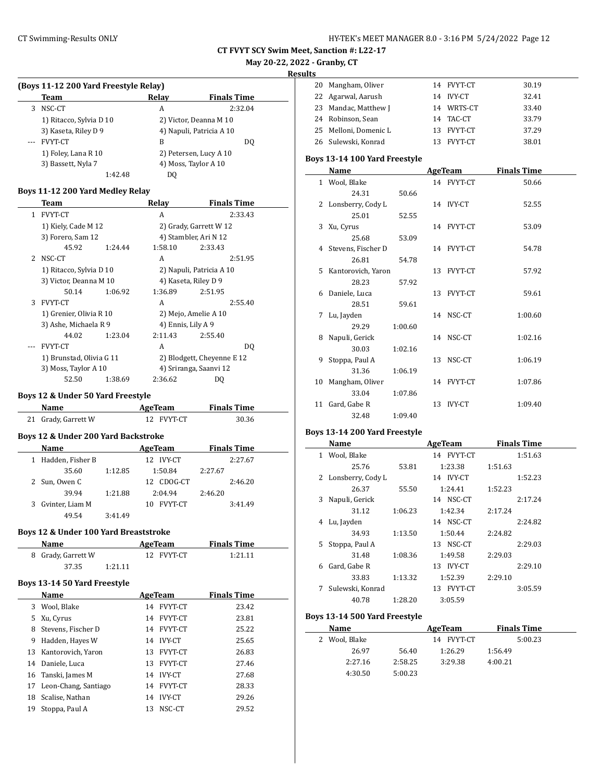| HY-TEK's MEET MANAGER 8.0 - 3:16 PM 5/24/2022 Page 12 |  |  |  |
|-------------------------------------------------------|--|--|--|
|-------------------------------------------------------|--|--|--|

# **May 20-22, 2022 - Granby, CT**

**Results**

|                          | (Boys 11-12 200 Yard Freestyle Relay) |                        |                      |                          |
|--------------------------|---------------------------------------|------------------------|----------------------|--------------------------|
|                          | Team                                  |                        | Relay                | <b>Finals Time</b>       |
| 3                        | NSC-CT                                |                        | A                    | 2:32.04                  |
|                          | 1) Ritacco, Sylvia D 10               |                        |                      | 2) Victor, Deanna M 10   |
|                          | 3) Kaseta, Riley D 9                  |                        |                      | 4) Napuli, Patricia A 10 |
| ---                      | <b>FVYT-CT</b>                        |                        | B                    | DQ                       |
|                          | 1) Foley, Lana R 10                   |                        |                      | 2) Petersen, Lucy A 10   |
|                          | 3) Bassett, Nyla 7                    |                        |                      | 4) Moss, Taylor A 10     |
|                          |                                       | 1:42.48                | DO.                  |                          |
|                          | Boys 11-12 200 Yard Medley Relay      |                        |                      |                          |
|                          |                                       |                        |                      |                          |
|                          | Team                                  |                        | Relay                | <b>Finals Time</b>       |
| $\mathbf{1}$             | <b>FVYT-CT</b>                        |                        | A                    | 2:33.43                  |
|                          | 1) Kiely, Cade M 12                   |                        |                      | 2) Grady, Garrett W 12   |
|                          | 3) Forero, Sam 12                     |                        |                      | 4) Stambler, Ari N 12    |
|                          | 45.92                                 | 1:24.44                | 1:58.10              | 2:33.43                  |
| $\overline{\mathcal{L}}$ | NSC-CT                                |                        | A                    | 2:51.95                  |
|                          | 1) Ritacco, Sylvia D 10               |                        |                      | 2) Napuli, Patricia A 10 |
|                          |                                       | 3) Victor, Deanna M 10 |                      | 4) Kaseta, Riley D 9     |
|                          | 50.14                                 | 1:06.92                | 1:36.89              | 2:51.95                  |
| 3                        | <b>FVYT-CT</b>                        |                        | A                    | 2:55.40                  |
|                          | 1) Grenier, Olivia R 10               |                        |                      | 2) Mejo, Amelie A 10     |
|                          | 3) Ashe, Michaela R 9                 |                        | 4) Ennis, Lily A 9   |                          |
|                          | 44.02                                 | 1.23.04                | $2.11 \, \text{A}$ 3 | 7.5540                   |

|   | 50.14                    | 1:06.92 | 1:36.89            | 2:51.95                    |  |
|---|--------------------------|---------|--------------------|----------------------------|--|
| 3 | <b>FVYT-CT</b>           |         | А                  | 2:55.40                    |  |
|   | 1) Grenier, Olivia R 10  |         |                    | 2) Mejo, Amelie A 10       |  |
|   | 3) Ashe, Michaela R 9    |         | 4) Ennis, Lily A 9 |                            |  |
|   | 44.02                    | 1:23.04 | 2:11.43            | 2:55.40                    |  |
|   | FVYT-CT                  |         | A                  | DQ                         |  |
|   | 1) Brunstad, Olivia G 11 |         |                    | 2) Blodgett, Cheyenne E 12 |  |
|   | 3) Moss, Taylor A 10     |         |                    | 4) Sriranga, Saanvi 12     |  |
|   | 52.50                    | 1:38.69 | 2:36.62            | D0                         |  |

### **Boys 12 & Under 50 Yard Freestyle**

| Name                | AgeTeam    | <b>Finals Time</b> |  |
|---------------------|------------|--------------------|--|
| 21 Grady, Garrett W | 12 FVYT-CT | 30.36              |  |

# **Boys 12 & Under 200 Yard Backstroke**

| Name               |         | AgeTeam              | <b>Finals Time</b> |
|--------------------|---------|----------------------|--------------------|
| 1 Hadden, Fisher B |         | 12 IVY-CT            | 2:27.67            |
| 35.60              | 1:12.85 | 1:50.84              | 2:27.67            |
| 2 Sun, Owen C      |         | CDOG-CT<br>12.       | 2:46.20            |
| 39.94              | 1:21.88 | 2:04.94              | 2:46.20            |
| 3 Gvinter, Liam M  |         | <b>FVYT-CT</b><br>10 | 3:41.49            |
| 49.54              | 3:41.49 |                      |                    |

### **Boys 12 & Under 100 Yard Breaststroke**

| Name               |         | AgeTeam    | <b>Finals Time</b> |  |  |
|--------------------|---------|------------|--------------------|--|--|
| 8 Grady, Garrett W |         | 12 FVYT-CT | 1:21.11            |  |  |
| 37.35              | 1:21.11 |            |                    |  |  |

### **Boys 13-14 50 Yard Freestyle**

|    | Name                    |    | AgeTeam        | <b>Finals Time</b> |  |
|----|-------------------------|----|----------------|--------------------|--|
|    | 3 Wool, Blake           | 14 | <b>FVYT-CT</b> | 23.42              |  |
|    | 5 Xu, Cyrus             | 14 | FVYT-CT        | 23.81              |  |
| 8  | Stevens, Fischer D      | 14 | FVYT-CT        | 25.22              |  |
| 9  | Hadden, Hayes W         | 14 | <b>IVY-CT</b>  | 25.65              |  |
|    | 13 Kantorovich, Yaron   | 13 | FVYT-CT        | 26.83              |  |
|    | 14 Daniele, Luca        | 13 | FVYT-CT        | 27.46              |  |
|    | 16 Tanski, James M      | 14 | <b>IVY-CT</b>  | 27.68              |  |
|    | 17 Leon-Chang, Santiago | 14 | FVYT-CT        | 28.33              |  |
|    | 18 Scalise, Nathan      | 14 | <b>IVY-CT</b>  | 29.26              |  |
| 19 | Stoppa, Paul A          | 13 | NSC-CT         | 29.52              |  |

| . . |                       |    |                |       |
|-----|-----------------------|----|----------------|-------|
|     | 20 Mangham, Oliver    |    | 14 FVYT-CT     | 30.19 |
|     | 22 Agarwal, Aarush    |    | 14 IVY-CT      | 32.41 |
|     | 23 Mandac, Matthew J  |    | 14 WRTS-CT     | 33.40 |
|     | 24 Robinson, Sean     |    | 14 TAC-CT      | 33.79 |
|     | 25 Melloni, Domenic L |    | 13 FVYT-CT     | 37.29 |
|     | 26 Sulewski, Konrad   | 13 | <b>FVYT-CT</b> | 38.01 |

### **Boys 13-14 100 Yard Freestyle**

|    | Name                |         |    | <b>AgeTeam</b> | <b>Finals Time</b> |
|----|---------------------|---------|----|----------------|--------------------|
|    | 1 Wool, Blake       |         |    | 14 FVYT-CT     | 50.66              |
|    | 24.31               | 50.66   |    |                |                    |
|    | 2 Lonsberry, Cody L |         |    | 14 IVY-CT      | 52.55              |
|    | 25.01               | 52.55   |    |                |                    |
| 3  | Xu, Cyrus           |         |    | 14 FVYT-CT     | 53.09              |
|    | 25.68               | 53.09   |    |                |                    |
| 4  | Stevens, Fischer D  |         |    | 14 FVYT-CT     | 54.78              |
|    | 26.81               | 54.78   |    |                |                    |
| 5  | Kantorovich, Yaron  |         |    | 13 FVYT-CT     | 57.92              |
|    | 28.23               | 57.92   |    |                |                    |
| 6  | Daniele, Luca       |         |    | 13 FVYT-CT     | 59.61              |
|    | 28.51               | 59.61   |    |                |                    |
| 7  | Lu, Jayden          |         |    | 14 NSC-CT      | 1:00.60            |
|    | 29.29               | 1:00.60 |    |                |                    |
| 8  | Napuli, Gerick      |         |    | 14 NSC-CT      | 1:02.16            |
|    | 30.03               | 1:02.16 |    |                |                    |
| 9  | Stoppa, Paul A      |         |    | 13 NSC-CT      | 1:06.19            |
|    | 31.36               | 1:06.19 |    |                |                    |
| 10 | Mangham, Oliver     |         |    | 14 FVYT-CT     | 1:07.86            |
|    | 33.04               | 1:07.86 |    |                |                    |
| 11 | Gard, Gabe R        |         | 13 | <b>IVY-CT</b>  | 1:09.40            |
|    | 32.48               | 1:09.40 |    |                |                    |

# **Boys 13-14 200 Yard Freestyle**

|   | Name                |         | AgeTeam    | <b>Finals Time</b> |
|---|---------------------|---------|------------|--------------------|
| 1 | Wool, Blake         |         | 14 FVYT-CT | 1:51.63            |
|   | 25.76               | 53.81   | 1:23.38    | 1:51.63            |
|   | 2 Lonsberry, Cody L |         | 14 IVY-CT  | 1:52.23            |
|   | 26.37               | 55.50   | 1:24.41    | 1:52.23            |
| 3 | Napuli, Gerick      |         | 14 NSC-CT  | 2:17.24            |
|   | 31.12               | 1:06.23 | 1:42.34    | 2:17.24            |
| 4 | Lu, Jayden          |         | 14 NSC-CT  | 2:24.82            |
|   | 34.93               | 1:13.50 | 1:50.44    | 2:24.82            |
| 5 | Stoppa, Paul A      |         | 13 NSC-CT  | 2:29.03            |
|   | 31.48               | 1:08.36 | 1:49.58    | 2:29.03            |
| 6 | Gard, Gabe R        |         | 13 IVY-CT  | 2:29.10            |
|   | 33.83               | 1:13.32 | 1:52.39    | 2:29.10            |
| 7 | Sulewski, Konrad    |         | 13 FVYT-CT | 3:05.59            |
|   | 40.78               | 1:28.20 | 3:05.59    |                    |

# **Boys 13-14 500 Yard Freestyle**

| Name          |         | AgeTeam    | <b>Finals Time</b> |
|---------------|---------|------------|--------------------|
| 2 Wool, Blake |         | 14 FVYT-CT | 5:00.23            |
| 26.97         | 56.40   | 1:26.29    | 1:56.49            |
| 2:27.16       | 2:58.25 | 3:29.38    | 4:00.21            |
| 4:30.50       | 5:00.23 |            |                    |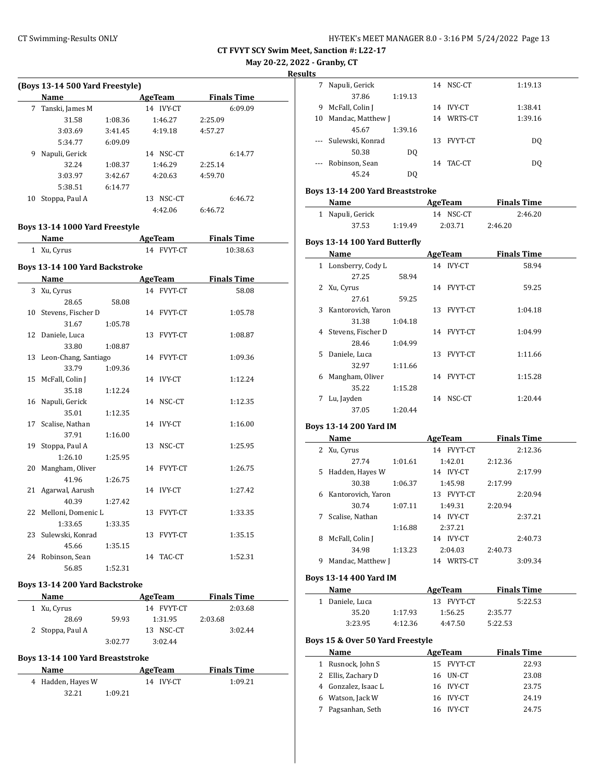**May 20-22, 2022 - Granby, CT**

**Results**

 $\frac{1}{2}$ 

 $\overline{\phantom{a}}$ 

 $\overline{a}$ 

|    | (Boys 13-14 500 Yard Freestyle) |         |                     |                    |  |  |  |  |
|----|---------------------------------|---------|---------------------|--------------------|--|--|--|--|
|    | <b>Name</b>                     |         | AgeTeam             | <b>Finals Time</b> |  |  |  |  |
| 7  | Tanski, James M                 |         | <b>IVY-CT</b><br>14 | 6:09.09            |  |  |  |  |
|    | 31.58                           | 1:08.36 | 1:46.27             | 2:25.09            |  |  |  |  |
|    | 3:03.69                         | 3:41.45 | 4:19.18             | 4:57.27            |  |  |  |  |
|    | 5:34.77                         | 6:09.09 |                     |                    |  |  |  |  |
| 9  | Napuli, Gerick                  |         | NSC-CT<br>14        | 6:14.77            |  |  |  |  |
|    | 32.24                           | 1:08.37 | 1:46.29             | 2:25.14            |  |  |  |  |
|    | 3:03.97                         | 3:42.67 | 4:20.63             | 4:59.70            |  |  |  |  |
|    | 5:38.51                         | 6:14.77 |                     |                    |  |  |  |  |
| 10 | Stoppa, Paul A                  |         | NSC-CT<br>13        | 6:46.72            |  |  |  |  |
|    |                                 |         | 4:42.06             | 6:46.72            |  |  |  |  |

### **Boys 13-14 1000 Yard Freestyle**

| Name        | AgeTeam    | <b>Finals Time</b> |  |
|-------------|------------|--------------------|--|
| 1 Xu, Cyrus | 14 FVYT-CT | 10:38.63           |  |

### **Boys 13-14 100 Yard Backstroke**

| Name                    |         | AgeTeam    | <b>Finals Time</b> |
|-------------------------|---------|------------|--------------------|
| 3 Xu, Cyrus             |         | 14 FVYT-CT | 58.08              |
| 28.65                   | 58.08   |            |                    |
| 10 Stevens, Fischer D   |         | 14 FVYT-CT | 1:05.78            |
| 31.67                   | 1:05.78 |            |                    |
| 12 Daniele, Luca        |         | 13 FVYT-CT | 1:08.87            |
| 33.80                   | 1:08.87 |            |                    |
| 13 Leon-Chang, Santiago |         | 14 FVYT-CT | 1:09.36            |
| 33.79                   | 1:09.36 |            |                    |
| 15 McFall, Colin J      |         | 14 IVY-CT  | 1:12.24            |
| 35.18                   | 1:12.24 |            |                    |
| 16 Napuli, Gerick       |         | 14 NSC-CT  | 1:12.35            |
| 35.01                   | 1:12.35 |            |                    |
| 17 Scalise, Nathan      |         | 14 IVY-CT  | 1:16.00            |
| 37.91                   | 1:16.00 |            |                    |
| 19 Stoppa, Paul A       |         | 13 NSC-CT  | 1:25.95            |
| 1:26.10                 | 1:25.95 |            |                    |
| 20 Mangham, Oliver      |         | 14 FVYT-CT | 1:26.75            |
| 41.96                   | 1:26.75 |            |                    |
| 21 Agarwal, Aarush      |         | 14 IVY-CT  | 1:27.42            |
| 40.39                   | 1:27.42 |            |                    |
| 22 Melloni, Domenic L   |         | 13 FVYT-CT | 1:33.35            |
| 1:33.65                 | 1:33.35 |            |                    |
| 23 Sulewski, Konrad     |         | 13 FVYT-CT | 1:35.15            |
| 45.66                   | 1:35.15 |            |                    |
| 24 Robinson, Sean       |         | 14 TAC-CT  | 1:52.31            |
| 56.85                   | 1:52.31 |            |                    |

#### **Boys 13-14 200 Yard Backstroke**

| Name             |         | AgeTeam    | <b>Finals Time</b> |  |
|------------------|---------|------------|--------------------|--|
| 1 Xu, Cyrus      |         | 14 FVYT-CT | 2:03.68            |  |
| 28.69            | 59.93   | 1:31.95    | 2:03.68            |  |
| 2 Stoppa, Paul A |         | 13 NSC-CT  | 3:02.44            |  |
|                  | 3:02.77 | 3:02.44    |                    |  |

#### **Boys 13-14 100 Yard Breaststroke**

| <b>Name</b>       | AgeTeam   | <b>Finals Time</b> |  |
|-------------------|-----------|--------------------|--|
| 4 Hadden, Hayes W | 14 IVY-CT | 1:09.21            |  |
| 32.21             | 1:09.21   |                    |  |

|          | Napuli, Gerick       |         |    | 14 NSC-CT      | 1:19.13 |
|----------|----------------------|---------|----|----------------|---------|
|          | 37.86                | 1:19.13 |    |                |         |
| 9        | McFall, Colin J      |         |    | 14 IVY-CT      | 1:38.41 |
| 10       | Mandac, Matthew J    |         | 14 | WRTS-CT        | 1:39.16 |
|          | 45.67                | 1:39.16 |    |                |         |
|          | --- Sulewski, Konrad |         | 13 | <b>FVYT-CT</b> | DQ      |
|          | 50.38                | DO.     |    |                |         |
| $\cdots$ | Robinson, Sean       |         |    | 14 TAC-CT      | DO.     |
|          | 45.24                | DQ      |    |                |         |

### **Boys 13-14 200 Yard Breaststroke**

| Name             |         | AgeTeam   | <b>Finals Time</b> |  |
|------------------|---------|-----------|--------------------|--|
| 1 Napuli, Gerick |         | 14 NSC-CT | 2:46.20            |  |
| 37.53            | 1:19.49 | 2:03.71   | 2:46.20            |  |

#### **Boys 13-14 100 Yard Butterfly**

|    | Name               |         |    | <b>AgeTeam</b> | <b>Finals Time</b> |  |
|----|--------------------|---------|----|----------------|--------------------|--|
| 1  | Lonsberry, Cody L  |         |    | 14 IVY-CT      | 58.94              |  |
|    | 27.25              | 58.94   |    |                |                    |  |
| 2  | Xu, Cyrus          |         |    | 14 FVYT-CT     | 59.25              |  |
|    | 27.61              | 59.25   |    |                |                    |  |
| 3  | Kantorovich, Yaron |         |    | 13 FVYT-CT     | 1:04.18            |  |
|    | 31.38              | 1:04.18 |    |                |                    |  |
| 4  | Stevens, Fischer D |         |    | 14 FVYT-CT     | 1:04.99            |  |
|    | 28.46              | 1:04.99 |    |                |                    |  |
| 5. | Daniele, Luca      |         | 13 | FVYT-CT        | 1:11.66            |  |
|    | 32.97              | 1:11.66 |    |                |                    |  |
| 6  | Mangham, Oliver    |         |    | 14 FVYT-CT     | 1:15.28            |  |
|    | 35.22              | 1:15.28 |    |                |                    |  |
| 7  | Lu, Jayden         |         | 14 | NSC-CT         | 1:20.44            |  |
|    | 37.05              | 1:20.44 |    |                |                    |  |

#### **Boys 13-14 200 Yard IM**

|    | Name               |         | AgeTeam              |         | <b>Finals Time</b> |
|----|--------------------|---------|----------------------|---------|--------------------|
|    | 2 Xu, Cyrus        |         | <b>FVYT-CT</b><br>14 |         | 2:12.36            |
|    | 27.74              | 1:01.61 | 1:42.01              | 2:12.36 |                    |
| 5. | Hadden, Hayes W    |         | 14 IVY-CT            |         | 2:17.99            |
|    | 30.38              | 1:06.37 | 1:45.98              | 2:17.99 |                    |
| 6  | Kantorovich, Yaron |         | 13 FVYT-CT           |         | 2:20.94            |
|    | 30.74              | 1:07.11 | 1:49.31              | 2:20.94 |                    |
|    | Scalise, Nathan    |         | IVY-CT<br>14         |         | 2:37.21            |
|    |                    | 1:16.88 | 2:37.21              |         |                    |
| 8  | McFall, Colin J    |         | 14 IVY-CT            |         | 2:40.73            |
|    | 34.98              | 1:13.23 | 2:04.03              | 2:40.73 |                    |
| 9  | Mandac, Matthew J  |         | WRTS-CT<br>14        |         | 3:09.34            |

#### **Boys 13-14 400 Yard IM**

| Name            |         | AgeTeam    | <b>Finals Time</b> |  |
|-----------------|---------|------------|--------------------|--|
| 1 Daniele. Luca |         | 13 FVYT-CT | 5:22.53            |  |
| 35.20           | 1:17.93 | 1:56.25    | 2:35.77            |  |
| 3:23.95         | 4:12.36 | 4:47.50    | 5:22.53            |  |

#### **Boys 15 & Over 50 Yard Freestyle**

| <b>Name</b>         | AgeTeam   |            | <b>Finals Time</b> |
|---------------------|-----------|------------|--------------------|
| Rusnock, John S     |           | 15 FVYT-CT | 22.93              |
| 2 Ellis, Zachary D  | 16 UN-CT  |            | 23.08              |
| 4 Gonzalez, Isaac L | 16 IVY-CT |            | 23.75              |
| 6 Watson, Jack W    | 16 IVY-CT |            | 24.19              |
| Pagsanhan, Seth     | 16 IVY-CT |            | 24.75              |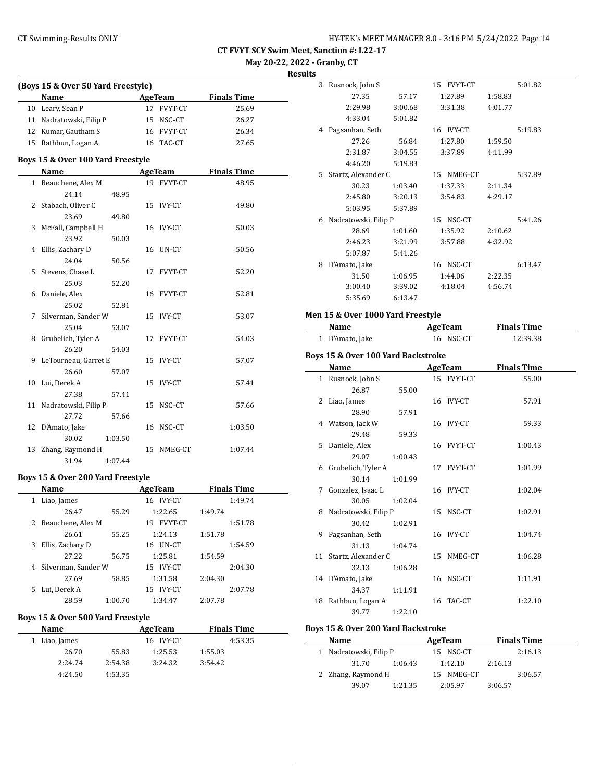**May 20-22, 2022 - Granby, CT**

**Results**

| (Boys 15 & Over 50 Yard Freestyle) |                                           |         |            |                    |  |
|------------------------------------|-------------------------------------------|---------|------------|--------------------|--|
|                                    | Name                                      |         | AgeTeam    | <b>Finals Time</b> |  |
|                                    | 10 Leary, Sean P                          |         | 17 FVYT-CT | 25.69              |  |
|                                    | 11 Nadratowski, Filip P                   |         | 15 NSC-CT  | 26.27              |  |
|                                    | 12 Kumar, Gautham S                       |         | 16 FVYT-CT | 26.34              |  |
|                                    | 15 Rathbun, Logan A                       |         | 16 TAC-CT  | 27.65              |  |
|                                    |                                           |         |            |                    |  |
|                                    | Boys 15 & Over 100 Yard Freestyle<br>Name |         |            |                    |  |
|                                    |                                           |         | AgeTeam    | <b>Finals Time</b> |  |
| $\mathbf{1}$                       | Beauchene, Alex M                         |         | 19 FVYT-CT | 48.95              |  |
|                                    | 24.14                                     | 48.95   |            |                    |  |
|                                    | 2 Stabach, Oliver C                       |         | 15 IVY-CT  | 49.80              |  |
|                                    | 23.69                                     | 49.80   |            |                    |  |
|                                    | 3 McFall, Campbell H                      |         | 16 IVY-CT  | 50.03              |  |
|                                    | 23.92                                     | 50.03   |            |                    |  |
|                                    | 4 Ellis, Zachary D                        |         | 16 UN-CT   | 50.56              |  |
|                                    | 24.04                                     | 50.56   |            |                    |  |
|                                    | 5 Stevens, Chase L                        |         | 17 FVYT-CT | 52.20              |  |
|                                    | 25.03                                     | 52.20   |            |                    |  |
|                                    | 6 Daniele, Alex                           |         | 16 FVYT-CT | 52.81              |  |
|                                    | 25.02                                     | 52.81   |            |                    |  |
|                                    | 7 Silverman, Sander W                     |         | 15 IVY-CT  | 53.07              |  |
|                                    | 25.04                                     | 53.07   |            |                    |  |
|                                    | 8 Grubelich, Tyler A                      |         | 17 FVYT-CT | 54.03              |  |
|                                    | 26.20                                     | 54.03   |            |                    |  |
|                                    | 9 LeTourneau, Garret E                    |         | 15 IVY-CT  | 57.07              |  |
|                                    | 26.60                                     | 57.07   |            |                    |  |
| 10                                 | Lui, Derek A                              |         | 15 IVY-CT  | 57.41              |  |
|                                    | 27.38                                     | 57.41   |            |                    |  |
|                                    | 11 Nadratowski, Filip P                   |         | 15 NSC-CT  | 57.66              |  |
|                                    | 27.72                                     | 57.66   |            |                    |  |
|                                    | 12 D'Amato, Jake                          |         | 16 NSC-CT  | 1:03.50            |  |
|                                    | 30.02                                     | 1:03.50 |            |                    |  |
|                                    | 13 Zhang, Raymond H                       |         | 15 NMEG-CT | 1:07.44            |  |
|                                    | 31.94                                     | 1:07.44 |            |                    |  |
|                                    |                                           |         |            |                    |  |
|                                    | Boys 15 & Over 200 Yard Freestyle         |         |            |                    |  |

#### **Boys 15 & Over 200 Yard Freestyle**

|   | Name                  |         | AgeTeam              |         | <b>Finals Time</b> |  |
|---|-----------------------|---------|----------------------|---------|--------------------|--|
| 1 | Liao, James           |         | 16 IVY-CT            |         | 1:49.74            |  |
|   | 26.47                 | 55.29   | 1:22.65              | 1:49.74 |                    |  |
|   | 2 Beauchene, Alex M   |         | <b>FVYT-CT</b><br>19 |         | 1:51.78            |  |
|   | 26.61                 | 55.25   | 1:24.13              | 1:51.78 |                    |  |
| 3 | Ellis, Zachary D      |         | UN-CT<br>16          |         | 1:54.59            |  |
|   | 27.22                 | 56.75   | 1:25.81              | 1:54.59 |                    |  |
|   | 4 Silverman, Sander W |         | IVY-CT<br>15.        |         | 2:04.30            |  |
|   | 27.69                 | 58.85   | 1:31.58              | 2:04.30 |                    |  |
| 5 | Lui, Derek A          |         | <b>IVY-CT</b><br>15  |         | 2:07.78            |  |
|   | 28.59                 | 1:00.70 | 1:34.47              | 2:07.78 |                    |  |

### **Boys 15 & Over 500 Yard Freestyle**

| <b>Name</b>   |         | AgeTeam   | <b>Finals Time</b> |  |
|---------------|---------|-----------|--------------------|--|
| 1 Liao, James |         | 16 IVY-CT | 4:53.35            |  |
| 26.70         | 55.83   | 1:25.53   | 1:55.03            |  |
| 2:24.74       | 2:54.38 | 3:24.32   | 3:54.42            |  |
| 4:24.50       | 4:53.35 |           |                    |  |

| 3  | Rusnock, John S      |         | 15 FVYT-CT   |         | 5:01.82 |
|----|----------------------|---------|--------------|---------|---------|
|    | 27.35                | 57.17   | 1:27.89      | 1:58.83 |         |
|    | 2:29.98              | 3:00.68 | 3:31.38      | 4:01.77 |         |
|    | 4:33.04              | 5:01.82 |              |         |         |
| 4  | Pagsanhan, Seth      |         | 16 IVY-CT    |         | 5:19.83 |
|    | 27.26                | 56.84   | 1:27.80      | 1:59.50 |         |
|    | 2:31.87              | 3:04.55 | 3:37.89      | 4:11.99 |         |
|    | 4:46.20              | 5:19.83 |              |         |         |
| 5. | Startz, Alexander C  |         | 15 NMEG-CT   |         | 5:37.89 |
|    | 30.23                | 1:03.40 | 1:37.33      | 2:11.34 |         |
|    | 2:45.80              | 3:20.13 | 3:54.83      | 4:29.17 |         |
|    | 5:03.95              | 5:37.89 |              |         |         |
| 6  | Nadratowski, Filip P |         | NSC-CT<br>15 |         | 5:41.26 |
|    | 28.69                | 1:01.60 | 1:35.92      | 2:10.62 |         |
|    | 2:46.23              | 3:21.99 | 3:57.88      | 4:32.92 |         |
|    | 5:07.87              | 5:41.26 |              |         |         |
| 8  | D'Amato, Jake        |         | 16 NSC-CT    |         | 6:13.47 |
|    | 31.50                | 1:06.95 | 1:44.06      | 2:22.35 |         |
|    | 3:00.40              | 3:39.02 | 4:18.04      | 4:56.74 |         |
|    | 5:35.69              | 6:13.47 |              |         |         |

#### **Men 15 & Over 1000 Yard Freestyle**

| Name            | AgeTeam   | <b>Finals Time</b> |
|-----------------|-----------|--------------------|
| 1 D'Amato, Jake | 16 NSC-CT | 12:39.38           |

# **Boys 15 & Over 100 Yard Backstroke**

| Name                   |         | AgeTeam    | <b>Finals Time</b> |
|------------------------|---------|------------|--------------------|
| 1 Rusnock, John S      |         | 15 FVYT-CT | 55.00              |
| 26.87                  | 55.00   |            |                    |
| 2 Liao, James          |         | 16 IVY-CT  | 57.91              |
| 28.90                  | 57.91   |            |                    |
| 4 Watson, Jack W       |         | 16 IVY-CT  | 59.33              |
| 29.48                  | 59.33   |            |                    |
| 5 Daniele, Alex        |         | 16 FVYT-CT | 1:00.43            |
| 29.07                  | 1:00.43 |            |                    |
| 6 Grubelich, Tyler A   |         | 17 FVYT-CT | 1:01.99            |
| 30.14                  | 1:01.99 |            |                    |
| 7 Gonzalez, Isaac L    |         | 16 IVY-CT  | 1:02.04            |
| 30.05                  | 1:02.04 |            |                    |
| 8 Nadratowski, Filip P |         | 15 NSC-CT  | 1:02.91            |
| 30.42                  | 1:02.91 |            |                    |
| 9 Pagsanhan, Seth      |         | 16 IVY-CT  | 1:04.74            |
| 31.13                  | 1:04.74 |            |                    |
| 11 Startz, Alexander C |         | 15 NMEG-CT | 1:06.28            |
| 32.13                  | 1:06.28 |            |                    |
| 14 D'Amato, Jake       |         | 16 NSC-CT  | 1:11.91            |
| 34.37                  | 1:11.91 |            |                    |
| 18 Rathbun, Logan A    |         | 16 TAC-CT  | 1:22.10            |
| 39.77                  | 1:22.10 |            |                    |

### **Boys 15 & Over 200 Yard Backstroke**

| Name                   |         | AgeTeam    |         | <b>Finals Time</b> |
|------------------------|---------|------------|---------|--------------------|
| 1 Nadratowski, Filip P |         | 15 NSC-CT  |         | 2:16.13            |
| 31.70                  | 1:06.43 | 1:42.10    | 2:16.13 |                    |
| 2 Zhang, Raymond H     |         | 15 NMEG-CT |         | 3:06.57            |
| 39.07                  | 1:21.35 | 2:05.97    | 3:06.57 |                    |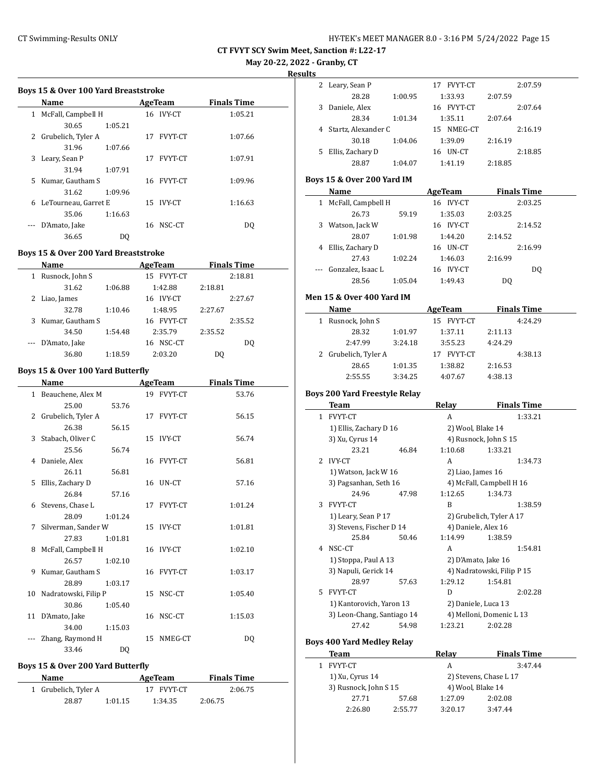# CT Swimming-Results ONLY **EXAMPLE 12 CONCRET MANAGER 8.0 - 3:16 PM 5/24/2022** Page 15

**CT FVYT SCY Swim Meet, Sanction #: L22-17**

**May 20-22, 2022 - Granby, CT**

**Results**

|    | Name                 |         |    | <b>AgeTeam</b> | <b>Finals Time</b> |
|----|----------------------|---------|----|----------------|--------------------|
| 1  | McFall, Campbell H   |         |    | 16 IVY-CT      | 1:05.21            |
|    | 30.65                | 1:05.21 |    |                |                    |
|    | 2 Grubelich, Tyler A |         | 17 | <b>FVYT-CT</b> | 1:07.66            |
|    | 31.96                | 1:07.66 |    |                |                    |
| 3  | Leary, Sean P        |         | 17 | <b>FVYT-CT</b> | 1:07.91            |
|    | 31.94                | 1:07.91 |    |                |                    |
| 5. | Kumar, Gautham S     |         |    | 16 FVYT-CT     | 1:09.96            |
|    | 31.62                | 1:09.96 |    |                |                    |
| 6  | LeTourneau, Garret E |         |    | 15 IVY-CT      | 1:16.63            |
|    | 35.06                | 1:16.63 |    |                |                    |
|    | D'Amato, Jake        |         | 16 | NSC-CT         | DO                 |
|    | 36.65                | DO      |    |                |                    |
|    |                      |         |    |                |                    |

#### **Boys 15 & Over 200 Yard Breaststroke**

 $\overline{a}$ 

|   | Name              |         | AgeTeam              | <b>Finals Time</b> |
|---|-------------------|---------|----------------------|--------------------|
| 1 | Rusnock, John S   |         | FVYT-CT<br>15        | 2:18.81            |
|   | 31.62             | 1:06.88 | 1:42.88              | 2:18.81            |
| 2 | Liao, James       |         | <b>IVY-CT</b><br>16. | 2:27.67            |
|   | 32.78             | 1:10.46 | 1:48.95              | 2:27.67            |
| 3 | Kumar, Gautham S  |         | 16 FVYT-CT           | 2:35.52            |
|   | 34.50             | 1:54.48 | 2:35.79              | 2:35.52            |
|   | --- D'Amato, Jake |         | NSC-CT<br>16         | DO                 |
|   | 36.80             | 1:18.59 | 2:03.20              | DO                 |

#### **Boys 15 & Over 100 Yard Butterfly**

| Name                    |                | <b>AgeTeam</b> | <b>Finals Time</b> |
|-------------------------|----------------|----------------|--------------------|
| 1 Beauchene, Alex M     |                | 19 FVYT-CT     | 53.76              |
| 25.00                   | 53.76          |                |                    |
| 2 Grubelich, Tyler A    |                | 17 FVYT-CT     | 56.15              |
| 26.38                   | 56.15          |                |                    |
| 3 Stabach, Oliver C     |                | 15 IVY-CT      | 56.74              |
| 25.56                   | 56.74          |                |                    |
| 4 Daniele, Alex         |                | 16 FVYT-CT     | 56.81              |
| 26.11                   | 56.81          |                |                    |
| 5 Ellis, Zachary D      |                | 16 UN-CT       | 57.16              |
| 26.84                   | 57.16          |                |                    |
| 6 Stevens, Chase L      |                | 17 FVYT-CT     | 1:01.24            |
| 28.09                   | 1:01.24        |                |                    |
| 7 Silverman, Sander W   |                | 15 IVY-CT      | 1:01.81            |
| 27.83                   | 1:01.81        |                |                    |
| 8 McFall, Campbell H    |                | 16 IVY-CT      | 1:02.10            |
| 26.57                   | 1:02.10        |                |                    |
| 9 Kumar, Gautham S      |                | 16 FVYT-CT     | 1:03.17            |
| 28.89                   | 1:03.17        |                |                    |
| 10 Nadratowski, Filip P |                | 15 NSC-CT      | 1:05.40            |
| 30.86                   | 1:05.40        |                |                    |
| 11 D'Amato, Jake        |                | 16 NSC-CT      | 1:15.03            |
| 34.00                   | 1:15.03        |                |                    |
| Zhang, Raymond H        |                | 15 NMEG-CT     | DO.                |
| 33.46                   | D <sub>0</sub> |                |                    |

# **Boys 15 & Over 200 Yard Butterfly**

| Name                 |         | AgeTeam    | <b>Finals Time</b> |
|----------------------|---------|------------|--------------------|
| 1 Grubelich, Tyler A |         | 17 FVYT-CT | 2:06.75            |
| 28.87                | 1:01.15 | 1:34.35    | 2:06.75            |

| ື |                     |         |               |         |         |
|---|---------------------|---------|---------------|---------|---------|
| 2 | Leary, Sean P       |         | FVYT-CT<br>17 |         | 2:07.59 |
|   | 28.28               | 1:00.95 | 1:33.93       | 2:07.59 |         |
| 3 | Daniele, Alex       |         | 16 FVYT-CT    |         | 2:07.64 |
|   | 28.34               | 1:01.34 | 1:35.11       | 2:07.64 |         |
|   | Startz, Alexander C |         | 15 NMEG-CT    |         | 2:16.19 |
|   | 30.18               | 1:04.06 | 1:39.09       | 2:16.19 |         |
|   | Ellis, Zachary D    |         | UN-CT<br>16   |         | 2:18.85 |
|   | 28.87               | 1:04.07 | 1:41.19       | 2:18.85 |         |

### **Boys 15 & Over 200 Yard IM**

|   | Name                 |         | AgeTeam             | <b>Finals Time</b> |  |
|---|----------------------|---------|---------------------|--------------------|--|
|   | 1 McFall, Campbell H |         | 16 IVY-CT           | 2:03.25            |  |
|   | 26.73                | 59.19   | 1:35.03             | 2:03.25            |  |
| 3 | Watson, Jack W       |         | 16 IVY-CT           | 2:14.52            |  |
|   | 28.07                | 1:01.98 | 1:44.20             | 2:14.52            |  |
| 4 | Ellis, Zachary D     |         | UN-CT<br>16         | 2:16.99            |  |
|   | 27.43                | 1:02.24 | 1:46.03             | 2:16.99            |  |
|   | Gonzalez, Isaac L    |         | <b>IVY-CT</b><br>16 | DO.                |  |
|   | 28.56                | 1:05.04 | 1:49.43             | DQ                 |  |
|   |                      |         |                     |                    |  |

#### **Men 15 & Over 400 Yard IM**

| <b>Name</b>          |         | AgeTeam       | <b>Finals Time</b> |
|----------------------|---------|---------------|--------------------|
| Rusnock, John S<br>1 |         | 15 FVYT-CT    | 4:24.29            |
| 28.32                | 1:01.97 | 1:37.11       | 2:11.13            |
| 2:47.99              | 3:24.18 | 3:55.23       | 4:24.29            |
| 2 Grubelich, Tyler A |         | FVYT-CT<br>17 | 4:38.13            |
| 28.65                | 1:01.35 | 1:38.82       | 2:16.53            |
| 2:55.55              | 3:34.25 | 4:07.67       | 4:38.13            |

#### **Boys 200 Yard Freestyle Relay**

|                | Team                       |       | Relay                    |                            |         | <b>Finals Time</b> |
|----------------|----------------------------|-------|--------------------------|----------------------------|---------|--------------------|
| $\mathbf{1}$   | <b>FVYT-CT</b>             |       |                          | A                          |         | 1:33.21            |
|                | 1) Ellis, Zachary D 16     |       | 2) Wool, Blake 14        |                            |         |                    |
|                | 3) Xu, Cyrus 14            |       | 4) Rusnock, John S 15    |                            |         |                    |
|                | 23.21                      | 46.84 |                          | 1:10.68                    | 1:33.21 |                    |
| $\overline{2}$ | <b>IVY-CT</b>              |       |                          | A                          |         | 1:34.73            |
|                | 1) Watson, Jack W 16       |       |                          | 2) Liao, James 16          |         |                    |
|                | 3) Pagsanhan, Seth 16      |       |                          | 4) McFall, Campbell H 16   |         |                    |
|                | 24.96                      | 47.98 |                          | 1:12.65                    | 1:34.73 |                    |
| 3              | <b>FVYT-CT</b>             |       |                          | B                          |         | 1:38.59            |
|                | 1) Leary, Sean P 17        |       | 2) Grubelich, Tyler A 17 |                            |         |                    |
|                | 3) Stevens, Fischer D 14   |       | 4) Daniele, Alex 16      |                            |         |                    |
|                | 25.84                      | 50.46 |                          | 1:14.99                    | 1:38.59 |                    |
| 4              | NSC-CT                     |       |                          | A                          |         | 1:54.81            |
|                | 1) Stoppa, Paul A 13       |       |                          | 2) D'Amato, Jake 16        |         |                    |
|                | 3) Napuli, Gerick 14       |       |                          | 4) Nadratowski, Filip P 15 |         |                    |
|                | 28.97                      | 57.63 |                          | 1:29.12                    | 1:54.81 |                    |
| 5.             | <b>FVYT-CT</b>             |       |                          | D                          |         | 2:02.28            |
|                | 1) Kantorovich, Yaron 13   |       |                          | 2) Daniele, Luca 13        |         |                    |
|                | 3) Leon-Chang, Santiago 14 |       |                          | 4) Melloni, Domenic L 13   |         |                    |
|                | 27.42                      | 54.98 |                          | 1:23.21                    | 2:02.28 |                    |

# **Boys 400 Yard Medley Relay**

| Team                  |         | Relav             | <b>Finals Time</b>     |  |
|-----------------------|---------|-------------------|------------------------|--|
| FVYT-CT               |         | А                 | 3:47.44                |  |
| 1) Xu, Cyrus 14       |         |                   | 2) Stevens, Chase L 17 |  |
| 3) Rusnock, John S 15 |         | 4) Wool, Blake 14 |                        |  |
| 27.71                 | 57.68   | 1:27.09           | 2:02.08                |  |
| 2:26.80               | 2:55.77 | 3:20.17           | 3.47.44                |  |